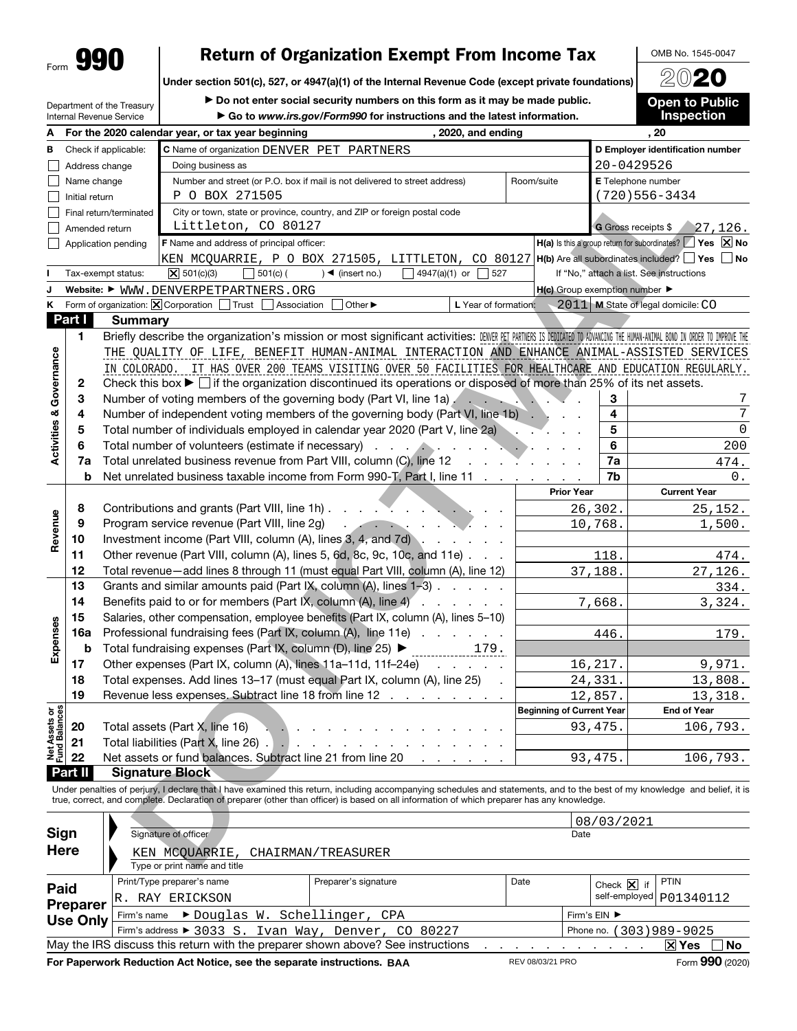# Form **990** Return of Organization Exempt From Income Tax  $\frac{\text{OMB No. 1545-00}}{20}$

OMB No. 1545-0047

**Return of Organization Exempt From Income Tax Under section 501(c), 527, or 4947(a)(1) of the Internal Revenue Code (except private foundations)**

Department of the Treasury<br>Internal Boyonya Sanciac Internal Revenue Service

 $\blacktriangleright$  Do not enter social security numbers on this form as it may be made public. a **Go to** *www.irs.gov/Form990* **for instructions and the latest information.**

**Open to Public Inspection**

|                                |                | סטו ושנו הפעסו ועם טפו עוטנ | $\sim$ ap to www.irs.gov/r ormsso for instructions and the latest information.                                                                                                                                                                                                                                           |                                                     |                                       | пізресноп                                                            |  |  |  |
|--------------------------------|----------------|-----------------------------|--------------------------------------------------------------------------------------------------------------------------------------------------------------------------------------------------------------------------------------------------------------------------------------------------------------------------|-----------------------------------------------------|---------------------------------------|----------------------------------------------------------------------|--|--|--|
| А                              |                |                             | For the 2020 calendar year, or tax year beginning<br>, 2020, and ending                                                                                                                                                                                                                                                  |                                                     |                                       | , 20                                                                 |  |  |  |
| в                              |                | Check if applicable:        | C Name of organization DENVER PET PARTNERS                                                                                                                                                                                                                                                                               |                                                     |                                       | D Employer identification number                                     |  |  |  |
|                                |                | Address change              | Doing business as                                                                                                                                                                                                                                                                                                        |                                                     | 20-0429526                            |                                                                      |  |  |  |
|                                | Name change    |                             | Number and street (or P.O. box if mail is not delivered to street address)                                                                                                                                                                                                                                               | Room/suite                                          | E Telephone number                    |                                                                      |  |  |  |
|                                | Initial return |                             | P O BOX 271505                                                                                                                                                                                                                                                                                                           |                                                     |                                       | $(720)$ 556-3434                                                     |  |  |  |
|                                |                | Final return/terminated     | City or town, state or province, country, and ZIP or foreign postal code                                                                                                                                                                                                                                                 |                                                     |                                       |                                                                      |  |  |  |
|                                |                | Amended return              | Littleton, CO 80127                                                                                                                                                                                                                                                                                                      |                                                     | <b>G</b> Gross receipts \$<br>27,126. |                                                                      |  |  |  |
|                                |                | Application pending         | F Name and address of principal officer:                                                                                                                                                                                                                                                                                 |                                                     |                                       | $H(a)$ is this a group return for subordinates? $\Box$ Yes $\Box$ No |  |  |  |
|                                |                |                             | KEN MCQUARRIE, P O BOX 271505, LITTLETON, CO 80127 $ H(b)$ Are all subordinates included? $\Box$ Yes $\Box$ No                                                                                                                                                                                                           |                                                     |                                       |                                                                      |  |  |  |
|                                |                | Tax-exempt status:          | $ \mathsf{X} $ 501(c)(3)<br>$\Box$ 501(c) (<br>4947(a)(1) or<br>527<br>$\sqrt{4}$ (insert no.)                                                                                                                                                                                                                           |                                                     |                                       | If "No," attach a list. See instructions                             |  |  |  |
|                                |                |                             | Website: ▶ WWW.DENVERPETPARTNERS.ORG                                                                                                                                                                                                                                                                                     | $H(c)$ Group exemption number $\blacktriangleright$ |                                       |                                                                      |  |  |  |
| ĸ                              |                |                             | Form of organization: $\boxed{\mathbf{X}}$ Corporation $\boxed{\phantom{1}}$ Trust<br>Other ▶<br>Association<br>L Year of formation:                                                                                                                                                                                     |                                                     |                                       | 2011 M State of legal domicile: CO                                   |  |  |  |
|                                | Part I         | <b>Summary</b>              |                                                                                                                                                                                                                                                                                                                          |                                                     |                                       |                                                                      |  |  |  |
|                                | 1              |                             | Briefly describe the organization's mission or most significant activities: DENVER, PET PARTURES IS DEDICATED TO ADVANCING THE HUMAH-ANIMAL BOND IN ORDER TO IMPROVE THE                                                                                                                                                 |                                                     |                                       |                                                                      |  |  |  |
|                                |                |                             | THE QUALITY OF LIFE, BENEFIT HUMAN-ANIMAL INTERACTION AND ENHANCE ANIMAL-ASSISTED SERVICES                                                                                                                                                                                                                               |                                                     |                                       |                                                                      |  |  |  |
| Governance                     |                |                             | IN COLORADO. IT HAS OVER 200 TEAMS VISITING OVER 50 FACILITIES FOR HEALTHCARE AND EDUCATION REGULARLY.                                                                                                                                                                                                                   |                                                     |                                       |                                                                      |  |  |  |
|                                | 2              |                             | Check this box $\blacktriangleright$ $\Box$ if the organization discontinued its operations or disposed of more than 25% of its net assets.                                                                                                                                                                              |                                                     |                                       |                                                                      |  |  |  |
|                                | З              |                             | Number of voting members of the governing body (Part VI, line 1a)                                                                                                                                                                                                                                                        |                                                     | 3                                     |                                                                      |  |  |  |
|                                | 4              |                             | Number of independent voting members of the governing body (Part VI, line 1b)                                                                                                                                                                                                                                            |                                                     | $\overline{\mathbf{4}}$               | 7                                                                    |  |  |  |
|                                | 5              |                             | Total number of individuals employed in calendar year 2020 (Part V, line 2a)                                                                                                                                                                                                                                             |                                                     | $\overline{5}$                        | $\Omega$                                                             |  |  |  |
|                                | 6              |                             | Total number of volunteers (estimate if necessary) entitled and number of volunteers (estimate if necessary)                                                                                                                                                                                                             | $6\phantom{a}$                                      | 200                                   |                                                                      |  |  |  |
| <b>Activities &amp;</b>        | 7a             |                             | Total unrelated business revenue from Part VIII, column (C), line 12<br>and a state of the state                                                                                                                                                                                                                         | 7a                                                  | 474.                                  |                                                                      |  |  |  |
|                                | b              |                             | Net unrelated business taxable income from Form 990-T, Part I, line 11                                                                                                                                                                                                                                                   |                                                     | 7b                                    | 0.                                                                   |  |  |  |
|                                |                |                             |                                                                                                                                                                                                                                                                                                                          | Prior Year                                          |                                       | <b>Current Year</b>                                                  |  |  |  |
|                                | 8              |                             | Contributions and grants (Part VIII, line 1h)                                                                                                                                                                                                                                                                            |                                                     | 26,302.                               | 25,152.                                                              |  |  |  |
| Revenue                        | 9              |                             | Program service revenue (Part VIII, line 2g)<br>and the state of the state of                                                                                                                                                                                                                                            | 10,768.                                             | 1,500.                                |                                                                      |  |  |  |
|                                | 10             |                             | Investment income (Part VIII, column (A), lines 3, 4, and 7d).<br>$\sim 100$ km s $^{-1}$                                                                                                                                                                                                                                |                                                     |                                       |                                                                      |  |  |  |
|                                | 11             |                             | Other revenue (Part VIII, column (A), lines 5, 6d, 8c, 9c, 10c, and 11e).<br>$\sim 10$                                                                                                                                                                                                                                   |                                                     | 118.                                  | 474.                                                                 |  |  |  |
|                                | 12             |                             | Total revenue-add lines 8 through 11 (must equal Part VIII, column (A), line 12)                                                                                                                                                                                                                                         |                                                     |                                       |                                                                      |  |  |  |
|                                | 13             |                             | Grants and similar amounts paid (Part IX, column (A), lines 1-3).                                                                                                                                                                                                                                                        |                                                     | 37,188.                               | 27,126.                                                              |  |  |  |
|                                | 14             |                             | Benefits paid to or for members (Part IX, column (A), line 4)                                                                                                                                                                                                                                                            |                                                     |                                       | 334.                                                                 |  |  |  |
|                                | 15             |                             | Salaries, other compensation, employee benefits (Part IX, column (A), lines 5-10)                                                                                                                                                                                                                                        |                                                     | 7,668.                                | 3,324.                                                               |  |  |  |
| Expenses                       |                |                             | Professional fundraising fees (Part IX, column (A), line 11e)                                                                                                                                                                                                                                                            |                                                     |                                       |                                                                      |  |  |  |
|                                | 16a            |                             | Total fundraising expenses (Part IX, column (D), line 25) ▶                                                                                                                                                                                                                                                              |                                                     | 446.                                  | 179.                                                                 |  |  |  |
|                                | b              |                             | 179.<br>Other expenses (Part IX, column (A), lines 11a-11d, 11f-24e)                                                                                                                                                                                                                                                     |                                                     |                                       |                                                                      |  |  |  |
|                                | 17             |                             | .                                                                                                                                                                                                                                                                                                                        |                                                     | 16, 217.                              | 9,971.                                                               |  |  |  |
|                                | 18             |                             | Total expenses. Add lines 13-17 (must equal Part IX, column (A), line 25)                                                                                                                                                                                                                                                |                                                     | 24,331.                               | 13,808.                                                              |  |  |  |
|                                | 19             |                             | Revenue less expenses. Subtract line 18 from line 12                                                                                                                                                                                                                                                                     | <b>Beginning of Current Year</b>                    | 12,857.                               | 13,318.                                                              |  |  |  |
| Net Assets or<br>Fund Balances |                |                             |                                                                                                                                                                                                                                                                                                                          |                                                     |                                       | <b>End of Year</b>                                                   |  |  |  |
|                                | 20             |                             | Total assets (Part X, line 16)                                                                                                                                                                                                                                                                                           |                                                     | 93, 475.                              | 106,793.                                                             |  |  |  |
|                                | 21             |                             | Total liabilities (Part X, line 26)                                                                                                                                                                                                                                                                                      |                                                     |                                       |                                                                      |  |  |  |
|                                | 22             |                             | Net assets or fund balances. Subtract line 21 from line 20                                                                                                                                                                                                                                                               |                                                     | 93, 475.                              | 106,793.                                                             |  |  |  |
|                                | Part II        |                             | <b>Signature Block</b>                                                                                                                                                                                                                                                                                                   |                                                     |                                       |                                                                      |  |  |  |
|                                |                |                             | Under penalties of perjury, I declare that I have examined this return, including accompanying schedules and statements, and to the best of my knowledge and belief, it is<br>true, correct, and complete. Declaration of preparer (other than officer) is based on all information of which preparer has any knowledge. |                                                     |                                       |                                                                      |  |  |  |
|                                |                |                             |                                                                                                                                                                                                                                                                                                                          |                                                     | 08/03/2021                            |                                                                      |  |  |  |
|                                | <b>Sign</b>    |                             | Signature of officer                                                                                                                                                                                                                                                                                                     | Date                                                |                                       |                                                                      |  |  |  |
|                                | <b>Here</b>    |                             | KEN MCQUARRIE,<br>CHAIRMAN/TREASURER                                                                                                                                                                                                                                                                                     |                                                     |                                       |                                                                      |  |  |  |
|                                |                |                             | Type or print name and title                                                                                                                                                                                                                                                                                             |                                                     |                                       |                                                                      |  |  |  |

|                 |                                                                                        | 08/03/2021               |                                    |                                                                  |                           |  |  |  |  |  |
|-----------------|----------------------------------------------------------------------------------------|--------------------------|------------------------------------|------------------------------------------------------------------|---------------------------|--|--|--|--|--|
| <b>Sign</b>     | Signature of officer                                                                   | Date                     |                                    |                                                                  |                           |  |  |  |  |  |
| <b>Here</b>     | KEN MCOUARRIE, CHAIRMAN/TREASURER                                                      |                          |                                    |                                                                  |                           |  |  |  |  |  |
|                 | Type or print name and title                                                           |                          |                                    |                                                                  |                           |  |  |  |  |  |
| Paid            | Print/Type preparer's name                                                             | Preparer's signature     | Date                               | PTIN<br>Check $\overline{\mathsf{x}}$ if $\overline{\mathsf{x}}$ |                           |  |  |  |  |  |
| <b>Preparer</b> | RAY ERICKSON                                                                           |                          |                                    |                                                                  | self-employed $p01340112$ |  |  |  |  |  |
| <b>Use Only</b> | Firm's name > Douglas W. Schellinger, CPA                                              |                          | Firm's $EIN$ $\blacktriangleright$ |                                                                  |                           |  |  |  |  |  |
|                 | Firm's address > 3033 S. Ivan Way, Denver, CO 80227                                    | Phone no. (303) 989-9025 |                                    |                                                                  |                           |  |  |  |  |  |
|                 | May the IRS discuss this return with the preparer shown above? See instructions enter- |                          |                                    |                                                                  | ∣×l Yes<br>⊟ No           |  |  |  |  |  |
|                 |                                                                                        |                          |                                    |                                                                  | $\sim$                    |  |  |  |  |  |

**For Paperwork Reduction Act Notice, see the separate instructions. BAA** REV 08/03/21 PRO REV 08/03/21 PRO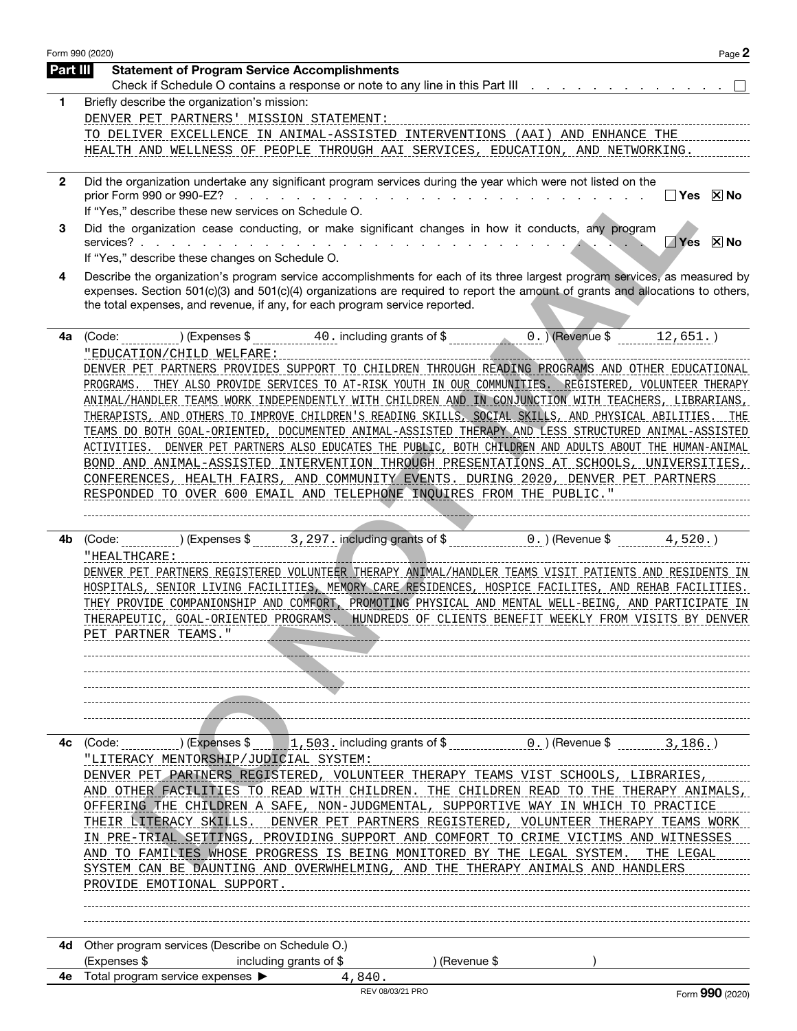|              | Form 990 (2020)<br>Page 2                                                                                                                                                                                                                                                                                                                                                                                                                      |
|--------------|------------------------------------------------------------------------------------------------------------------------------------------------------------------------------------------------------------------------------------------------------------------------------------------------------------------------------------------------------------------------------------------------------------------------------------------------|
| Part III     | <b>Statement of Program Service Accomplishments</b><br>Check if Schedule O contains a response or note to any line in this Part III                                                                                                                                                                                                                                                                                                            |
| 1            | Briefly describe the organization's mission:                                                                                                                                                                                                                                                                                                                                                                                                   |
|              | DENVER PET PARTNERS' MISSION STATEMENT:                                                                                                                                                                                                                                                                                                                                                                                                        |
|              | TO DELIVER EXCELLENCE IN ANIMAL-ASSISTED INTERVENTIONS (AAI) AND ENHANCE THE                                                                                                                                                                                                                                                                                                                                                                   |
|              | HEALTH AND WELLNESS OF PEOPLE THROUGH AAI SERVICES, EDUCATION, AND NETWORKING.                                                                                                                                                                                                                                                                                                                                                                 |
|              |                                                                                                                                                                                                                                                                                                                                                                                                                                                |
| $\mathbf{2}$ | Did the organization undertake any significant program services during the year which were not listed on the<br>$\Box$ Yes $\Box$ No<br>prior Form 990 or 990-EZ?<br>the contract of the contract of the contract of the contract of the contract of<br>If "Yes," describe these new services on Schedule O.                                                                                                                                   |
| 3            | Did the organization cease conducting, or make significant changes in how it conducts, any program<br>Yes X No<br>$\cdots$                                                                                                                                                                                                                                                                                                                     |
|              | If "Yes," describe these changes on Schedule O.                                                                                                                                                                                                                                                                                                                                                                                                |
| 4            | Describe the organization's program service accomplishments for each of its three largest program services, as measured by<br>expenses. Section 501(c)(3) and 501(c)(4) organizations are required to report the amount of grants and allocations to others,<br>the total expenses, and revenue, if any, for each program service reported.                                                                                                    |
| 4a           | (Code: _____________) (Expenses $\frac{40}{1}$ and $\frac{40}{1}$ including grants of $\frac{6}{1}$ and $\frac{6}{1}$ (Revenue \$<br>12,651.                                                                                                                                                                                                                                                                                                   |
|              | DENVER PET PARTNERS PROVIDES SUPPORT TO CHILDREN THROUGH READING PROGRAMS AND OTHER EDUCATIONAL<br>PROGRAMSTHEY ALSO PROVIDE SERVICES TO AT-RISK YOUTH IN OUR COMMUNITIESREGISTERED, VOLUNTEER THERAPY<br>ANIMAL/HANDLER TEAMS WORK INDEPENDENTLY MITH CHILDREN AND IN CONJUNCTION WITH TEACHERS, LIBRARIANS,                                                                                                                                  |
|              | THERAPISTS, AND OTHERS TO IMPROVE CHILDREN'S READING SKILLS, SOCIAL SKILLS, AND PHYSICAL ABILITIESTHE<br>TEAMS DO BOTH GOAL-ORIENTED, DOCUMENTED ANIMAL-ASSISTED THERAPY AND LESS STRUCTURED ANIMAL-ASSISTED                                                                                                                                                                                                                                   |
|              | ACTIVITIES DENVER PET PARTNERS ALSO EDUCATES THE PUBLIC, BOTH CHILDREN AND ADULTS ABOUT THE HUMAN-ANIMAL<br>BOND AND ANIMAL ASSISTED INTERVENTION THROUGH PRESENTATIONS AT SCHOOLS, UNIVERSITIES,<br>CONFERENCES, HEALTH FAIRS, AND COMMUNITY EVENTS, DURING 2020, DENVER PET PARTNERS                                                                                                                                                         |
|              |                                                                                                                                                                                                                                                                                                                                                                                                                                                |
| 4b           | (Expenses $\frac{1}{2}$ , 3, 297. including grants of $\frac{1}{2}$ , 0. (Revenue $\frac{1}{2}$ , 520.)<br>(Code:<br>"HEALTHCARE:                                                                                                                                                                                                                                                                                                              |
|              | DENVER PET PARTNERS REGISTERED VOLUNTEER THERAPY ANIMAL/HANDLER TEAMS VISIT PATIENTS AND RESIDENTS IN<br>HOSPITALS, SENIOR LIVING FACILITIES, MEMORY CARE RESIDENCES, HOSPICE FACILITES, AND REHAB FACILITIES.<br>THEY PROVIDE COMPANIONSHIP AND COMFORT, PROMOTING PHYSICAL AND MENTAL WELL-BEING, AND PARTICIPATE IN<br>THERAPEUTIC, GOAL-ORIENTED PROGRAMS. HUNDREDS OF CLIENTS BENEFIT WEEKLY FROM VISITS BY DENVER<br>PET PARTNER TEAMS." |
|              |                                                                                                                                                                                                                                                                                                                                                                                                                                                |
|              |                                                                                                                                                                                                                                                                                                                                                                                                                                                |
|              |                                                                                                                                                                                                                                                                                                                                                                                                                                                |
|              |                                                                                                                                                                                                                                                                                                                                                                                                                                                |
| 4c           | 1,503, including grants of \$ ________________0. (Revenue \$<br>(Code:<br>) (Expenses \$<br>3,186.                                                                                                                                                                                                                                                                                                                                             |
|              | "LITERACY MENTORSHIP/JUDICIAL SYSTEM:                                                                                                                                                                                                                                                                                                                                                                                                          |
|              | DENVER PET PARTNERS REGISTERED, VOLUNTEER THERAPY TEAMS VIST SCHOOLS, LIBRARIES,                                                                                                                                                                                                                                                                                                                                                               |
|              | AND OTHER FACILITIES TO READ WITH CHILDREN. THE CHILDREN READ TO THE THERAPY ANIMALS                                                                                                                                                                                                                                                                                                                                                           |
|              | OFFERING THE CHILDREN A SAFE, NON-JUDGMENTAL,<br>SUPPORTIVE WAY IN WHICH TO PRACTICE                                                                                                                                                                                                                                                                                                                                                           |
|              | THEIR LITERACY SKILLS.<br>DENVER PET<br>PARTNERS REGISTERED, VOLUNTEER THERAPY TEAMS WORK                                                                                                                                                                                                                                                                                                                                                      |
|              | PRE-TRIAL SETTINGS, PROVIDING SUPPORT AND COMFORT TO CRIME VICTIMS AND WITNESSES                                                                                                                                                                                                                                                                                                                                                               |
|              | AND TO FAMILIES WHOSE PROGRESS IS BEING MONITORED BY THE LEGAL SYSTEM<br>THE LEGAL<br>SYSTEM CAN BE DAUNTING AND OVERWHELMING, AND<br>THE THERAPY ANIMALS AND HANDLERS                                                                                                                                                                                                                                                                         |
|              | PROVIDE EMOTIONAL SUPPORT                                                                                                                                                                                                                                                                                                                                                                                                                      |
|              |                                                                                                                                                                                                                                                                                                                                                                                                                                                |
|              |                                                                                                                                                                                                                                                                                                                                                                                                                                                |
| 4d           | Other program services (Describe on Schedule O.)                                                                                                                                                                                                                                                                                                                                                                                               |
|              | (Expenses \$<br>including grants of \$<br>) (Revenue \$                                                                                                                                                                                                                                                                                                                                                                                        |
| 4e           | Total program service expenses ▶<br>4,840.                                                                                                                                                                                                                                                                                                                                                                                                     |
|              | REV 08/03/21 PRO<br>Form 990 (2020)                                                                                                                                                                                                                                                                                                                                                                                                            |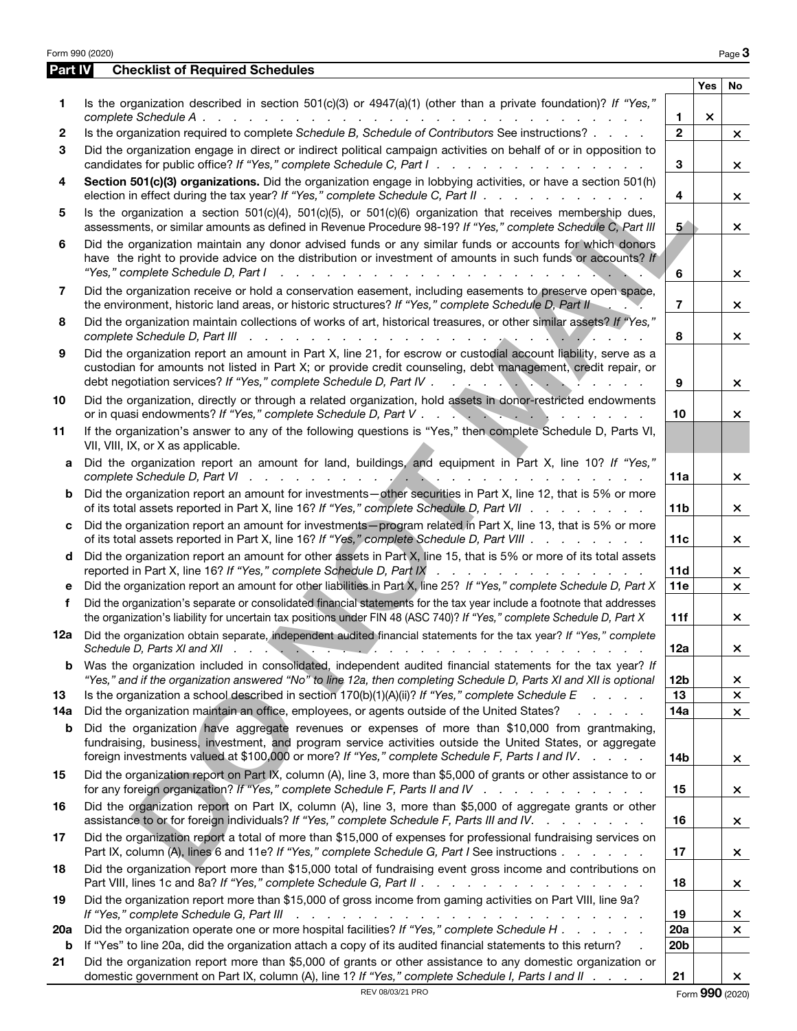|         | Form 990 (2020)                                                                                                                                                                                                                                                                                                                                                                                                                                                                                                                                |                         |            | Page 3                    |
|---------|------------------------------------------------------------------------------------------------------------------------------------------------------------------------------------------------------------------------------------------------------------------------------------------------------------------------------------------------------------------------------------------------------------------------------------------------------------------------------------------------------------------------------------------------|-------------------------|------------|---------------------------|
| Part IV | <b>Checklist of Required Schedules</b>                                                                                                                                                                                                                                                                                                                                                                                                                                                                                                         |                         |            |                           |
|         |                                                                                                                                                                                                                                                                                                                                                                                                                                                                                                                                                |                         | <b>Yes</b> | <b>No</b>                 |
| 1       | Is the organization described in section $501(c)(3)$ or $4947(a)(1)$ (other than a private foundation)? If "Yes,"                                                                                                                                                                                                                                                                                                                                                                                                                              | 1                       | $\times$   |                           |
| 2       | Is the organization required to complete Schedule B, Schedule of Contributors See instructions?                                                                                                                                                                                                                                                                                                                                                                                                                                                | $\mathbf{2}$            |            | $\boldsymbol{\mathsf{x}}$ |
| 3       | Did the organization engage in direct or indirect political campaign activities on behalf of or in opposition to<br>candidates for public office? If "Yes," complete Schedule C, Part I.                                                                                                                                                                                                                                                                                                                                                       | 3                       |            | $\boldsymbol{\mathsf{x}}$ |
| 4       | Section 501(c)(3) organizations. Did the organization engage in lobbying activities, or have a section 501(h)<br>election in effect during the tax year? If "Yes," complete Schedule C, Part II                                                                                                                                                                                                                                                                                                                                                | $\overline{\mathbf{4}}$ |            | $\times$                  |
| 5       | Is the organization a section $501(c)(4)$ , $501(c)(5)$ , or $501(c)(6)$ organization that receives membership dues,<br>assessments, or similar amounts as defined in Revenue Procedure 98-19? If "Yes," complete Schedule C, Part III                                                                                                                                                                                                                                                                                                         | 5 <sup>7</sup>          |            | $\times$                  |
| 6       | Did the organization maintain any donor advised funds or any similar funds or accounts for which donors<br>have the right to provide advice on the distribution or investment of amounts in such funds or accounts? If<br>"Yes," complete Schedule D, Part I<br>and the contract of the contract of the contract of                                                                                                                                                                                                                            | 6                       |            | ×.                        |
| 7       | Did the organization receive or hold a conservation easement, including easements to preserve open space,<br>the environment, historic land areas, or historic structures? If "Yes," complete Schedule D, Part II                                                                                                                                                                                                                                                                                                                              | $\overline{7}$          |            | ×.                        |
| 8       | Did the organization maintain collections of works of art, historical treasures, or other similar assets? If "Yes,"                                                                                                                                                                                                                                                                                                                                                                                                                            | 8                       |            | $\times$                  |
| 9       | Did the organization report an amount in Part X, line 21, for escrow or custodial account liability, serve as a<br>custodian for amounts not listed in Part X; or provide credit counseling, debt management, credit repair, or<br>debt negotiation services? If "Yes," complete Schedule D, Part IV .<br><u> 1950 - Johann Stein, fransk foarmen fan it ferstjin fan it ferstjin fan it ferstjin fan it ferstjin fan it ferstjin fan it ferstjin fan it ferstjin fan it ferstjin fan it ferstjin fan it ferstjin fan it ferstjin fan it f</u> | 9                       |            | ×.                        |
| 10      | Did the organization, directly or through a related organization, hold assets in donor-restricted endowments                                                                                                                                                                                                                                                                                                                                                                                                                                   | 10                      |            | $\times$                  |
| 11      | If the organization's answer to any of the following questions is "Yes," then complete Schedule D, Parts VI,<br>VII, VIII, IX, or X as applicable.                                                                                                                                                                                                                                                                                                                                                                                             |                         |            |                           |
| а       | Did the organization report an amount for land, buildings, and equipment in Part X, line 10? If "Yes,"                                                                                                                                                                                                                                                                                                                                                                                                                                         | 11a                     |            | ×.                        |
| b       | Did the organization report an amount for investments-other securities in Part X, line 12, that is 5% or more<br>of its total assets reported in Part X, line 16? If "Yes," complete Schedule D, Part VII                                                                                                                                                                                                                                                                                                                                      | 11 <sub>b</sub>         |            | ×.                        |
| c       | Did the organization report an amount for investments - program related in Part X, line 13, that is 5% or more<br>of its total assets reported in Part X, line 16? If "Yes," complete Schedule D, Part VIII                                                                                                                                                                                                                                                                                                                                    | 11c                     |            | ×.                        |
| d       | Did the organization report an amount for other assets in Part X, line 15, that is 5% or more of its total assets<br>reported in Part X, line 16? If "Yes," complete Schedule D, Part IX                                                                                                                                                                                                                                                                                                                                                       | 11d                     |            | ×.                        |
| е       | Did the organization report an amount for other liabilities in Part X, line 25? If "Yes," complete Schedule D, Part X                                                                                                                                                                                                                                                                                                                                                                                                                          | 11e                     |            | $\mathsf{x}$              |
| f       | Did the organization's separate or consolidated financial statements for the tax year include a footnote that addresses<br>the organization's liability for uncertain tax positions under FIN 48 (ASC 740)? If "Yes," complete Schedule D, Part X                                                                                                                                                                                                                                                                                              | 11f                     |            | ×.                        |
| 12a     | Did the organization obtain separate, independent audited financial statements for the tax year? If "Yes," complete<br>Schedule D, Parts XI and XII<br>and the company of the company of the company of the company of the company of the company of the company of the                                                                                                                                                                                                                                                                        | 12a                     |            | $\times$                  |
| b       | Was the organization included in consolidated, independent audited financial statements for the tax year? If<br>"Yes," and if the organization answered "No" to line 12a, then completing Schedule D, Parts XI and XII is optional                                                                                                                                                                                                                                                                                                             | 12 <sub>b</sub>         |            | ×.                        |
| 13      | Is the organization a school described in section $170(b)(1)(A)(ii)?$ If "Yes," complete Schedule E                                                                                                                                                                                                                                                                                                                                                                                                                                            | 13                      |            | $\times$                  |
| 14a     | Did the organization maintain an office, employees, or agents outside of the United States?<br>and the company of the company                                                                                                                                                                                                                                                                                                                                                                                                                  | 14a                     |            | $\boldsymbol{\mathsf{x}}$ |
| b       | Did the organization have aggregate revenues or expenses of more than \$10,000 from grantmaking,<br>fundraising, business, investment, and program service activities outside the United States, or aggregate<br>foreign investments valued at \$100,000 or more? If "Yes," complete Schedule F, Parts I and IV.                                                                                                                                                                                                                               | 14b                     |            | $\times$                  |
| 15      | Did the organization report on Part IX, column (A), line 3, more than \$5,000 of grants or other assistance to or<br>for any foreign organization? If "Yes," complete Schedule F, Parts II and IV                                                                                                                                                                                                                                                                                                                                              | 15                      |            | $\boldsymbol{\mathsf{x}}$ |
| 16      | Did the organization report on Part IX, column (A), line 3, more than \$5,000 of aggregate grants or other<br>assistance to or for foreign individuals? If "Yes," complete Schedule F, Parts III and IV.                                                                                                                                                                                                                                                                                                                                       | 16                      |            | $\times$                  |
| 17      | Did the organization report a total of more than \$15,000 of expenses for professional fundraising services on<br>Part IX, column (A), lines 6 and 11e? If "Yes," complete Schedule G, Part I See instructions                                                                                                                                                                                                                                                                                                                                 | 17                      |            | $\boldsymbol{\mathsf{x}}$ |
| 18      | Did the organization report more than \$15,000 total of fundraising event gross income and contributions on<br>Part VIII, lines 1c and 8a? If "Yes," complete Schedule G, Part II                                                                                                                                                                                                                                                                                                                                                              | 18                      |            | $\times$                  |
| 19      | Did the organization report more than \$15,000 of gross income from gaming activities on Part VIII, line 9a?<br>If "Yes," complete Schedule G, Part III<br>والمتحاول والمتحاول والمتحاول والمتحاول والمتحاول والمتحاول والمتحاولة                                                                                                                                                                                                                                                                                                              | 19                      |            | ×.                        |
| 20a     | Did the organization operate one or more hospital facilities? If "Yes," complete Schedule H                                                                                                                                                                                                                                                                                                                                                                                                                                                    | 20a                     |            | $\times$                  |
| b       | If "Yes" to line 20a, did the organization attach a copy of its audited financial statements to this return?                                                                                                                                                                                                                                                                                                                                                                                                                                   | 20 <sub>b</sub>         |            |                           |
| 21      | Did the organization report more than \$5,000 of grants or other assistance to any domestic organization or<br>domestic government on Part IX, column (A), line 1? If "Yes," complete Schedule I, Parts I and II                                                                                                                                                                                                                                                                                                                               | 21                      |            | ×.                        |
|         | REV 08/03/21 PRO                                                                                                                                                                                                                                                                                                                                                                                                                                                                                                                               |                         |            | Form 990 (2020)           |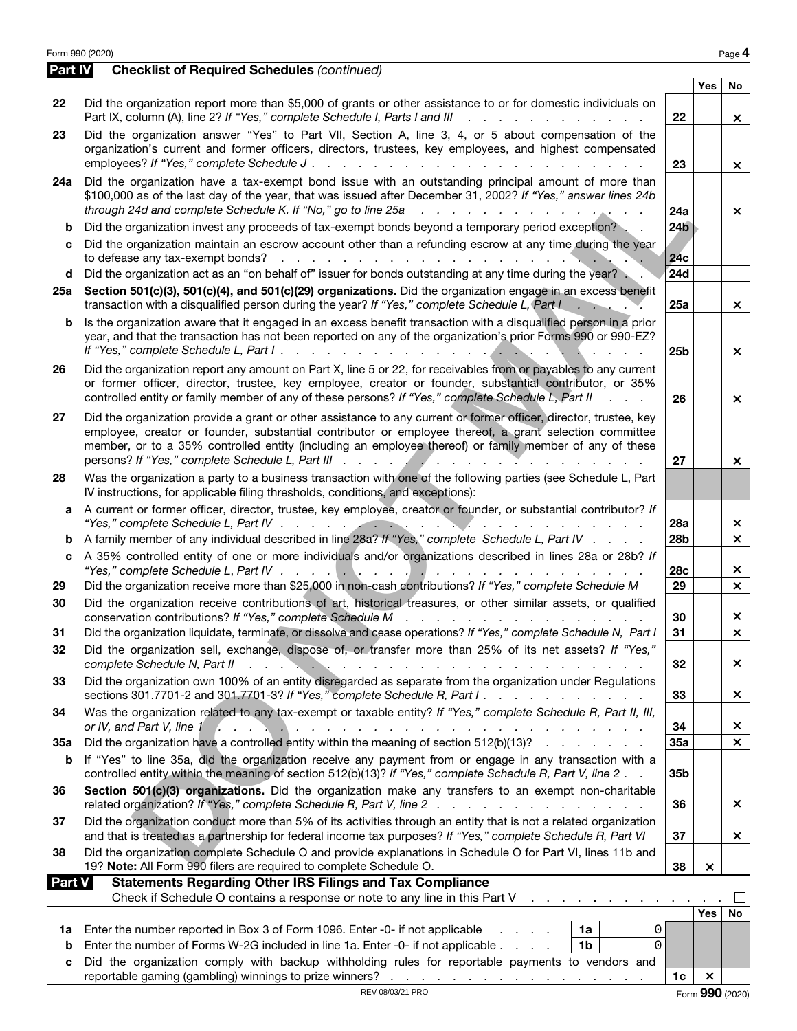|               | Form 990 (2020)                                                                                                                                                                                                                                                                                                                                                                           |                 |                | Page 4   |
|---------------|-------------------------------------------------------------------------------------------------------------------------------------------------------------------------------------------------------------------------------------------------------------------------------------------------------------------------------------------------------------------------------------------|-----------------|----------------|----------|
| Part IV       | <b>Checklist of Required Schedules (continued)</b>                                                                                                                                                                                                                                                                                                                                        |                 |                |          |
|               |                                                                                                                                                                                                                                                                                                                                                                                           |                 | Yes            | No       |
| 22            | Did the organization report more than \$5,000 of grants or other assistance to or for domestic individuals on<br>Part IX, column (A), line 2? If "Yes," complete Schedule I, Parts I and III<br>$\mathbf{r} = \mathbf{r} - \mathbf{r} = \mathbf{r} - \mathbf{r} = \mathbf{r} - \mathbf{r} = \mathbf{r} - \mathbf{r}$                                                                      | 22              |                | $\times$ |
| 23            | Did the organization answer "Yes" to Part VII, Section A, line 3, 4, or 5 about compensation of the<br>organization's current and former officers, directors, trustees, key employees, and highest compensated<br>employees? If "Yes," complete Schedule J.<br>and the state of the state<br>and a straight and a straight                                                                | 23              |                | $\times$ |
| 24a           | Did the organization have a tax-exempt bond issue with an outstanding principal amount of more than<br>\$100,000 as of the last day of the year, that was issued after December 31, 2002? If "Yes," answer lines 24b<br>through 24d and complete Schedule K. If "No," go to line 25a<br>.                                                                                                 | 24a             |                | ×.       |
| b             | Did the organization invest any proceeds of tax-exempt bonds beyond a temporary period exception?                                                                                                                                                                                                                                                                                         | 24 <sub>b</sub> |                |          |
| c             | Did the organization maintain an escrow account other than a refunding escrow at any time during the year<br>to defease any tax-exempt bonds?<br>and a series of the contract of the contract of                                                                                                                                                                                          | 24c             |                |          |
| d             | Did the organization act as an "on behalf of" issuer for bonds outstanding at any time during the year?                                                                                                                                                                                                                                                                                   | 24d             |                |          |
| 25a           | Section 501(c)(3), 501(c)(4), and 501(c)(29) organizations. Did the organization engage in an excess benefit<br>transaction with a disqualified person during the year? If "Yes," complete Schedule L, Part I<br><b>College</b>                                                                                                                                                           | 25a             |                | ×.       |
| b             | Is the organization aware that it engaged in an excess benefit transaction with a disqualified person in a prior<br>year, and that the transaction has not been reported on any of the organization's prior Forms 990 or 990-EZ?<br>If "Yes," complete Schedule L, Part I.                                                                                                                | 25 <sub>b</sub> |                | ×        |
| 26            | Did the organization report any amount on Part X, line 5 or 22, for receivables from or payables to any current<br>or former officer, director, trustee, key employee, creator or founder, substantial contributor, or 35%<br>controlled entity or family member of any of these persons? If "Yes," complete Schedule L, Part II<br>and a control                                         | 26              |                | $\times$ |
| 27            | Did the organization provide a grant or other assistance to any current or former officer, director, trustee, key<br>employee, creator or founder, substantial contributor or employee thereof, a grant selection committee<br>member, or to a 35% controlled entity (including an employee thereof) or family member of any of these<br>persons? If "Yes," complete Schedule L, Part III | 27              |                | ×        |
| 28            | Was the organization a party to a business transaction with one of the following parties (see Schedule L, Part<br>IV instructions, for applicable filing thresholds, conditions, and exceptions):                                                                                                                                                                                         |                 |                |          |
| a             | A current or former officer, director, trustee, key employee, creator or founder, or substantial contributor? If<br>"Yes," complete Schedule L, Part IV                                                                                                                                                                                                                                   | <b>28a</b>      |                | ×.       |
| b             | A family member of any individual described in line 28a? If "Yes," complete Schedule L, Part IV                                                                                                                                                                                                                                                                                           | 28 <sub>b</sub> |                | $\times$ |
| c             | A 35% controlled entity of one or more individuals and/or organizations described in lines 28a or 28b? If<br>"Yes," complete Schedule L, Part IV $\ldots$ , $\ldots$ , $\ldots$ , $\ldots$<br>$\mathbf{L} = \mathbf{L}$                                                                                                                                                                   | 28c             |                | ×        |
| 29            | Did the organization receive more than \$25,000 in non-cash contributions? If "Yes," complete Schedule M                                                                                                                                                                                                                                                                                  | 29              |                | $\times$ |
| 30            | Did the organization receive contributions of art, historical treasures, or other similar assets, or qualified<br>conservation contributions? If "Yes," complete Schedule M                                                                                                                                                                                                               | 30              |                | ×        |
| 31            | Did the organization liquidate, terminate, or dissolve and cease operations? If "Yes," complete Schedule N, Part I                                                                                                                                                                                                                                                                        | $\overline{31}$ |                | $\times$ |
| 32            | Did the organization sell, exchange, dispose of, or transfer more than 25% of its net assets? If "Yes,"<br>complete Schedule N, Part II<br>$\mathcal{L}^{\mathcal{A}}$ . The contribution of the contribution of the contribution of the contribution of the contribution of the contribution of the contribution of the contribution of the contribution of the contribution of the      | 32              |                | ×.       |
| 33            | Did the organization own 100% of an entity disregarded as separate from the organization under Regulations<br>sections 301.7701-2 and 301.7701-3? If "Yes," complete Schedule R, Part I.                                                                                                                                                                                                  | 33              |                | ×        |
| 34            | Was the organization related to any tax-exempt or taxable entity? If "Yes," complete Schedule R, Part II, III,                                                                                                                                                                                                                                                                            | 34              |                | ×        |
| 35а           | Did the organization have a controlled entity within the meaning of section $512(b)(13)?$                                                                                                                                                                                                                                                                                                 | 35a             |                | $\times$ |
| b             | If "Yes" to line 35a, did the organization receive any payment from or engage in any transaction with a<br>controlled entity within the meaning of section 512(b)(13)? If "Yes," complete Schedule R, Part V, line 2. .                                                                                                                                                                   | 35b             |                |          |
| 36            | Section 501(c)(3) organizations. Did the organization make any transfers to an exempt non-charitable<br>related organization? If "Yes," complete Schedule R, Part V, line 2                                                                                                                                                                                                               | 36              |                | ×.       |
| 37            | Did the organization conduct more than 5% of its activities through an entity that is not a related organization<br>and that is treated as a partnership for federal income tax purposes? If "Yes," complete Schedule R, Part VI                                                                                                                                                          | 37              |                | ×.       |
| 38            | Did the organization complete Schedule O and provide explanations in Schedule O for Part VI, lines 11b and<br>19? Note: All Form 990 filers are required to complete Schedule O.                                                                                                                                                                                                          | 38              | $\pmb{\times}$ |          |
| <b>Part V</b> | <b>Statements Regarding Other IRS Filings and Tax Compliance</b>                                                                                                                                                                                                                                                                                                                          |                 |                |          |
|               | Check if Schedule O contains a response or note to any line in this Part V<br>and a straight and a straight and                                                                                                                                                                                                                                                                           |                 |                |          |
|               |                                                                                                                                                                                                                                                                                                                                                                                           |                 | <b>Yes</b>     | No       |
| 1a            | Enter the number reported in Box 3 of Form 1096. Enter -0- if not applicable<br>1a<br>0                                                                                                                                                                                                                                                                                                   |                 |                |          |
| b             | Enter the number of Forms W-2G included in line 1a. Enter -0- if not applicable<br>1 <sub>b</sub><br>$\Omega$                                                                                                                                                                                                                                                                             |                 |                |          |
| c             | Did the organization comply with backup withholding rules for reportable payments to vendors and                                                                                                                                                                                                                                                                                          | 1c              | $\pmb{\times}$ |          |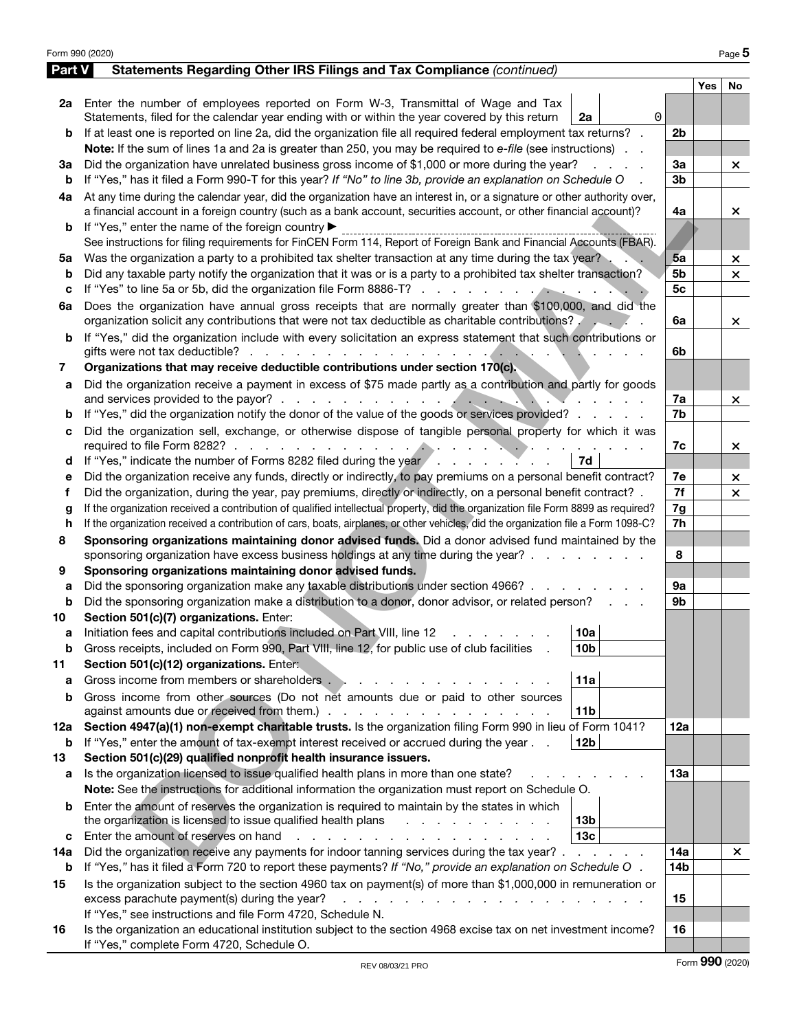| Form 990 (2020) |                                                                                                                                                                                                                                      |                |     | Page 5   |
|-----------------|--------------------------------------------------------------------------------------------------------------------------------------------------------------------------------------------------------------------------------------|----------------|-----|----------|
| <b>Part V</b>   | Statements Regarding Other IRS Filings and Tax Compliance (continued)                                                                                                                                                                |                |     |          |
|                 |                                                                                                                                                                                                                                      |                | Yes | No       |
|                 | 2a Enter the number of employees reported on Form W-3, Transmittal of Wage and Tax                                                                                                                                                   |                |     |          |
|                 | Statements, filed for the calendar year ending with or within the year covered by this return<br>$\Omega$<br>2a                                                                                                                      |                |     |          |
| b               | If at least one is reported on line 2a, did the organization file all required federal employment tax returns? .                                                                                                                     | 2 <sub>b</sub> |     |          |
|                 | Note: If the sum of lines 1a and 2a is greater than 250, you may be required to e-file (see instructions).                                                                                                                           |                |     |          |
| За              | Did the organization have unrelated business gross income of \$1,000 or more during the year?                                                                                                                                        | 3a             |     | ×        |
| b               | If "Yes," has it filed a Form 990-T for this year? If "No" to line 3b, provide an explanation on Schedule O                                                                                                                          | 3 <sub>b</sub> |     |          |
| 4а              | At any time during the calendar year, did the organization have an interest in, or a signature or other authority over,                                                                                                              |                |     |          |
|                 | a financial account in a foreign country (such as a bank account, securities account, or other financial account)?                                                                                                                   | 4a             |     | ×        |
| b               | If "Yes," enter the name of the foreign country ▶                                                                                                                                                                                    |                |     |          |
|                 | See instructions for filing requirements for FinCEN Form 114, Report of Foreign Bank and Financial Accounts (FBAR).                                                                                                                  |                |     |          |
| 5a              | Was the organization a party to a prohibited tax shelter transaction at any time during the tax year?                                                                                                                                | 5a             |     |          |
|                 |                                                                                                                                                                                                                                      | 5b             |     | ×        |
| b               | Did any taxable party notify the organization that it was or is a party to a prohibited tax shelter transaction?                                                                                                                     |                |     | $\times$ |
| c               | If "Yes" to line 5a or 5b, did the organization file Form 8886-T?                                                                                                                                                                    | 5c             |     |          |
| 6a              | Does the organization have annual gross receipts that are normally greater than \$100,000, and did the                                                                                                                               |                |     |          |
|                 | organization solicit any contributions that were not tax deductible as charitable contributions?                                                                                                                                     | 6a             |     | ×.       |
| b               | If "Yes," did the organization include with every solicitation an express statement that such contributions or                                                                                                                       |                |     |          |
|                 | gifts were not tax deductible?                                                                                                                                                                                                       | 6b             |     |          |
| 7               | Organizations that may receive deductible contributions under section 170(c).                                                                                                                                                        |                |     |          |
| a               | Did the organization receive a payment in excess of \$75 made partly as a contribution and partly for goods                                                                                                                          |                |     |          |
|                 |                                                                                                                                                                                                                                      | 7a             |     | $\times$ |
| b               | If "Yes," did the organization notify the donor of the value of the goods or services provided?                                                                                                                                      | 7b             |     |          |
| c               | Did the organization sell, exchange, or otherwise dispose of tangible personal property for which it was                                                                                                                             |                |     |          |
|                 |                                                                                                                                                                                                                                      | 7c             |     | ×        |
| d               | 7d<br>If "Yes," indicate the number of Forms 8282 filed during the year example of the state of the number of Forms 8282 filed during the year and the state of the state of the state of the state of the state of the state of the |                |     |          |
| е               | Did the organization receive any funds, directly or indirectly, to pay premiums on a personal benefit contract?                                                                                                                      | 7e             |     | ×        |
| f               | Did the organization, during the year, pay premiums, directly or indirectly, on a personal benefit contract? .                                                                                                                       | 7f             |     | ×        |
| g               | If the organization received a contribution of qualified intellectual property, did the organization file Form 8899 as required?                                                                                                     | 7g             |     |          |
| h               | If the organization received a contribution of cars, boats, airplanes, or other vehicles, did the organization file a Form 1098-C?                                                                                                   | 7h             |     |          |
| 8               | Sponsoring organizations maintaining donor advised funds. Did a donor advised fund maintained by the                                                                                                                                 |                |     |          |
|                 | sponsoring organization have excess business holdings at any time during the year?                                                                                                                                                   | 8              |     |          |
| 9               | Sponsoring organizations maintaining donor advised funds.                                                                                                                                                                            |                |     |          |
| а               | Did the sponsoring organization make any taxable distributions under section 4966?                                                                                                                                                   | 9a             |     |          |
| b               | Did the sponsoring organization make a distribution to a donor, donor advisor, or related person?                                                                                                                                    | 9 <sub>b</sub> |     |          |
| 10              | Section 501(c)(7) organizations. Enter:                                                                                                                                                                                              |                |     |          |
|                 | 10a <br>Initiation fees and capital contributions included on Part VIII, line 12 \[matter states and capital contributions included on Part VIII, line 12 \[matter states and capital                                                |                |     |          |
| b               | 10 <sub>b</sub><br>Gross receipts, included on Form 990, Part VIII, line 12, for public use of club facilities                                                                                                                       |                |     |          |
| 11              | Section 501(c)(12) organizations. Enter:                                                                                                                                                                                             |                |     |          |
| a               | Gross income from members or shareholders.<br>11a                                                                                                                                                                                    |                |     |          |
| b               | Gross income from other sources (Do not net amounts due or paid to other sources                                                                                                                                                     |                |     |          |
|                 | 11 <sub>b</sub><br>against amounts due or received from them.) .<br>the contract of the contract of the contract of the contract of the contract of the contract of the contract of                                                  |                |     |          |
| 12a             | Section 4947(a)(1) non-exempt charitable trusts. Is the organization filing Form 990 in lieu of Form 1041?                                                                                                                           | 12a            |     |          |
| b               | If "Yes," enter the amount of tax-exempt interest received or accrued during the year<br>12 <sub>b</sub>                                                                                                                             |                |     |          |
| 13              | Section 501(c)(29) qualified nonprofit health insurance issuers.                                                                                                                                                                     |                |     |          |
| а               | Is the organization licensed to issue qualified health plans in more than one state?                                                                                                                                                 | 13a            |     |          |
|                 | Note: See the instructions for additional information the organization must report on Schedule O.                                                                                                                                    |                |     |          |
| b               | Enter the amount of reserves the organization is required to maintain by the states in which                                                                                                                                         |                |     |          |
|                 | 13 <sub>b</sub><br>the organization is licensed to issue qualified health plans                                                                                                                                                      |                |     |          |
| c               | 13 <sub>c</sub><br>Enter the amount of reserves on hand<br>and the company of the company of                                                                                                                                         |                |     |          |
| 14a             | Did the organization receive any payments for indoor tanning services during the tax year?                                                                                                                                           | 14a            |     | ×        |
| b               | If "Yes," has it filed a Form 720 to report these payments? If "No," provide an explanation on Schedule O.                                                                                                                           | 14b            |     |          |
| 15              | Is the organization subject to the section 4960 tax on payment(s) of more than \$1,000,000 in remuneration or                                                                                                                        |                |     |          |
|                 | excess parachute payment(s) during the year?<br>.                                                                                                                                                                                    | 15             |     |          |
|                 | If "Yes," see instructions and file Form 4720, Schedule N.                                                                                                                                                                           |                |     |          |
| 16              | Is the organization an educational institution subject to the section 4968 excise tax on net investment income?                                                                                                                      | 16             |     |          |
|                 | If "Yes," complete Form 4720, Schedule O.                                                                                                                                                                                            |                |     |          |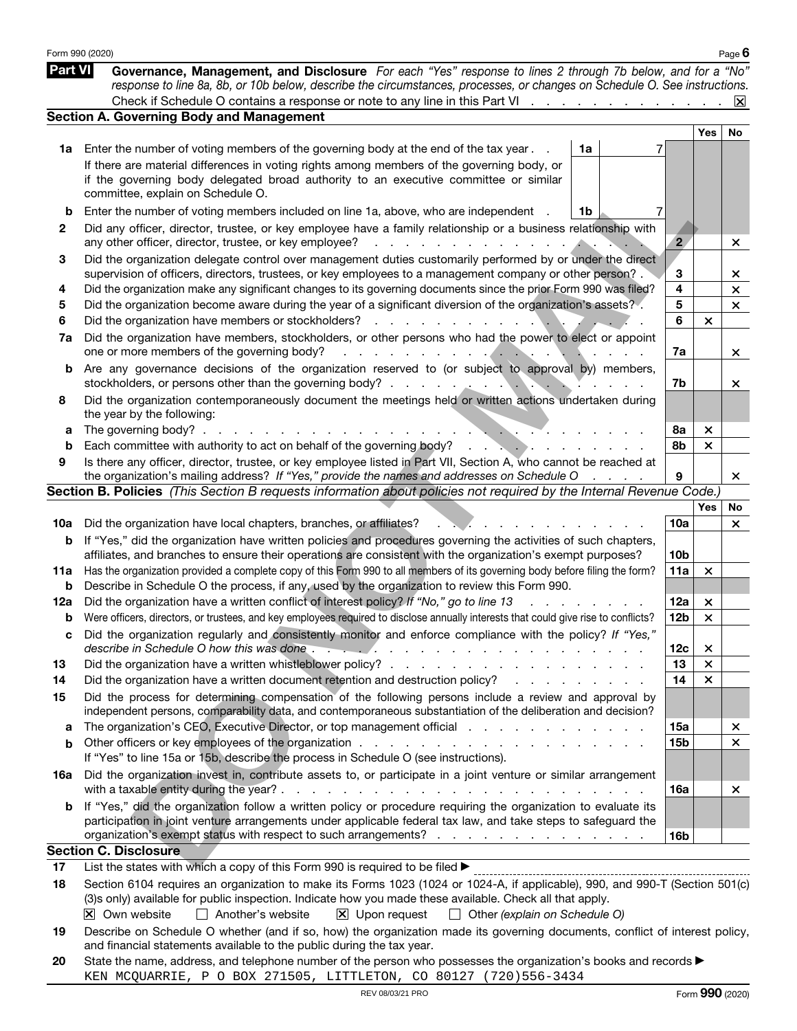|                | Form 990 (2020)                                                                                                                                                                                                                                                                                                                                                          |                 |                | Page 6                |
|----------------|--------------------------------------------------------------------------------------------------------------------------------------------------------------------------------------------------------------------------------------------------------------------------------------------------------------------------------------------------------------------------|-----------------|----------------|-----------------------|
| <b>Part VI</b> | Governance, Management, and Disclosure For each "Yes" response to lines 2 through 7b below, and for a "No"<br>response to line 8a, 8b, or 10b below, describe the circumstances, processes, or changes on Schedule O. See instructions.                                                                                                                                  |                 |                |                       |
|                | Check if Schedule O contains a response or note to any line in this Part VI                                                                                                                                                                                                                                                                                              |                 |                | $\mathbf{\mathsf{X}}$ |
|                | <b>Section A. Governing Body and Management</b>                                                                                                                                                                                                                                                                                                                          |                 | <b>Yes</b>     | No                    |
|                | 1a<br><b>1a</b> Enter the number of voting members of the governing body at the end of the tax year.<br>If there are material differences in voting rights among members of the governing body, or<br>if the governing body delegated broad authority to an executive committee or similar<br>committee, explain on Schedule O.                                          |                 |                |                       |
|                |                                                                                                                                                                                                                                                                                                                                                                          |                 |                |                       |
| b<br>2         | Enter the number of voting members included on line 1a, above, who are independent<br>1b<br>Did any officer, director, trustee, or key employee have a family relationship or a business relationship with<br>any other officer, director, trustee, or key employee?<br>and a state of the state<br>and a state                                                          | 2 <sub>1</sub>  |                | ×                     |
| 3              | Did the organization delegate control over management duties customarily performed by or under the direct<br>supervision of officers, directors, trustees, or key employees to a management company or other person?.                                                                                                                                                    | 3               |                | ×                     |
| 4              | Did the organization make any significant changes to its governing documents since the prior Form 990 was filed?                                                                                                                                                                                                                                                         | 4               |                | $\times$              |
| 5              | Did the organization become aware during the year of a significant diversion of the organization's assets? .                                                                                                                                                                                                                                                             | 5               |                | $\times$              |
| 6              | Did the organization have members or stockholders?<br>a na mara                                                                                                                                                                                                                                                                                                          | 6               | ×              |                       |
| 7a             | Did the organization have members, stockholders, or other persons who had the power to elect or appoint<br>one or more members of the governing body?<br>and a state of                                                                                                                                                                                                  | 7a              |                | ×.                    |
| b              | Are any governance decisions of the organization reserved to (or subject to approval by) members,<br>stockholders, or persons other than the governing body?<br>and and<br><b>Contract</b>                                                                                                                                                                               | 7b              |                | ×                     |
| 8              | Did the organization contemporaneously document the meetings held or written actions undertaken during<br>the year by the following:                                                                                                                                                                                                                                     |                 |                |                       |
| а              | The governing body? $\ldots$ $\ldots$ $\ldots$ $\ldots$ $\ldots$                                                                                                                                                                                                                                                                                                         | 8a              | ×              |                       |
| b              | Each committee with authority to act on behalf of the governing body?<br><b><i>Contract Contract</i></b><br>and a state of the state of                                                                                                                                                                                                                                  | 8b              | ×              |                       |
| 9              | Is there any officer, director, trustee, or key employee listed in Part VII, Section A, who cannot be reached at<br>the organization's mailing address? If "Yes," provide the names and addresses on Schedule O                                                                                                                                                          | 9               |                | ×                     |
|                | Section B. Policies (This Section B requests information about policies not required by the Internal Revenue Code.)                                                                                                                                                                                                                                                      |                 |                |                       |
|                |                                                                                                                                                                                                                                                                                                                                                                          |                 | Yes            | No                    |
| 10a            | Did the organization have local chapters, branches, or affiliates?                                                                                                                                                                                                                                                                                                       | 10a             |                | $\times$              |
| b              | If "Yes," did the organization have written policies and procedures governing the activities of such chapters,<br>affiliates, and branches to ensure their operations are consistent with the organization's exempt purposes?                                                                                                                                            | 10 <sub>b</sub> |                |                       |
| 11a            | Has the organization provided a complete copy of this Form 990 to all members of its governing body before filing the form?                                                                                                                                                                                                                                              | 11a             | ×              |                       |
| b              | Describe in Schedule O the process, if any, used by the organization to review this Form 990.                                                                                                                                                                                                                                                                            |                 |                |                       |
| 12a            | Did the organization have a written conflict of interest policy? If "No," go to line 13                                                                                                                                                                                                                                                                                  | 12a             | ×              |                       |
| b              | Were officers, directors, or trustees, and key employees required to disclose annually interests that could give rise to conflicts?                                                                                                                                                                                                                                      | 12 <sub>b</sub> | $\times$       |                       |
|                | Did the organization regularly and consistently monitor and enforce compliance with the policy? If "Yes,"<br>describe in Schedule O how this was done. And the state of the state of the state of the state of the state of the state of the state of the state of the state of the state of the state of the state of the state of the sta                              | 12 <sub>c</sub> | ×              |                       |
| 13             |                                                                                                                                                                                                                                                                                                                                                                          | 13              | $\pmb{\times}$ |                       |
| 14             | Did the organization have a written document retention and destruction policy?                                                                                                                                                                                                                                                                                           | 14              | $\times$       |                       |
| 15             | Did the process for determining compensation of the following persons include a review and approval by<br>independent persons, comparability data, and contemporaneous substantiation of the deliberation and decision?                                                                                                                                                  |                 |                |                       |
| a              | The organization's CEO, Executive Director, or top management official                                                                                                                                                                                                                                                                                                   | <b>15a</b>      |                | ×                     |
| b              | If "Yes" to line 15a or 15b, describe the process in Schedule O (see instructions).                                                                                                                                                                                                                                                                                      | <b>15b</b>      |                | $\times$              |
| 16а            | Did the organization invest in, contribute assets to, or participate in a joint venture or similar arrangement                                                                                                                                                                                                                                                           | 16a             |                | ×                     |
| b              | If "Yes," did the organization follow a written policy or procedure requiring the organization to evaluate its<br>participation in joint venture arrangements under applicable federal tax law, and take steps to safeguard the                                                                                                                                          |                 |                |                       |
|                | organization's exempt status with respect to such arrangements?                                                                                                                                                                                                                                                                                                          | 16b             |                |                       |
|                | <b>Section C. Disclosure</b>                                                                                                                                                                                                                                                                                                                                             |                 |                |                       |
| 17             | List the states with which a copy of this Form 990 is required to be filed >                                                                                                                                                                                                                                                                                             |                 |                |                       |
| 18             | Section 6104 requires an organization to make its Forms 1023 (1024 or 1024-A, if applicable), 990, and 990-T (Section 501(c)<br>(3)s only) available for public inspection. Indicate how you made these available. Check all that apply.<br>$\overline{\mathsf{x}}$ Own website<br>Another's website<br>$\boxtimes$ Upon request<br>$\Box$ Other (explain on Schedule O) |                 |                |                       |
| 19             | Describe on Schedule O whether (and if so, how) the organization made its governing documents, conflict of interest policy,<br>and financial statements available to the public during the tax year.                                                                                                                                                                     |                 |                |                       |

| 20 State the name, address, and telephone number of the person who possesses the organization's books and records |  |  |  |  |
|-------------------------------------------------------------------------------------------------------------------|--|--|--|--|
| KEN MCOUARRIE, P O BOX 271505, LITTLETON, CO 80127 (720)556-3434                                                  |  |  |  |  |
|                                                                                                                   |  |  |  |  |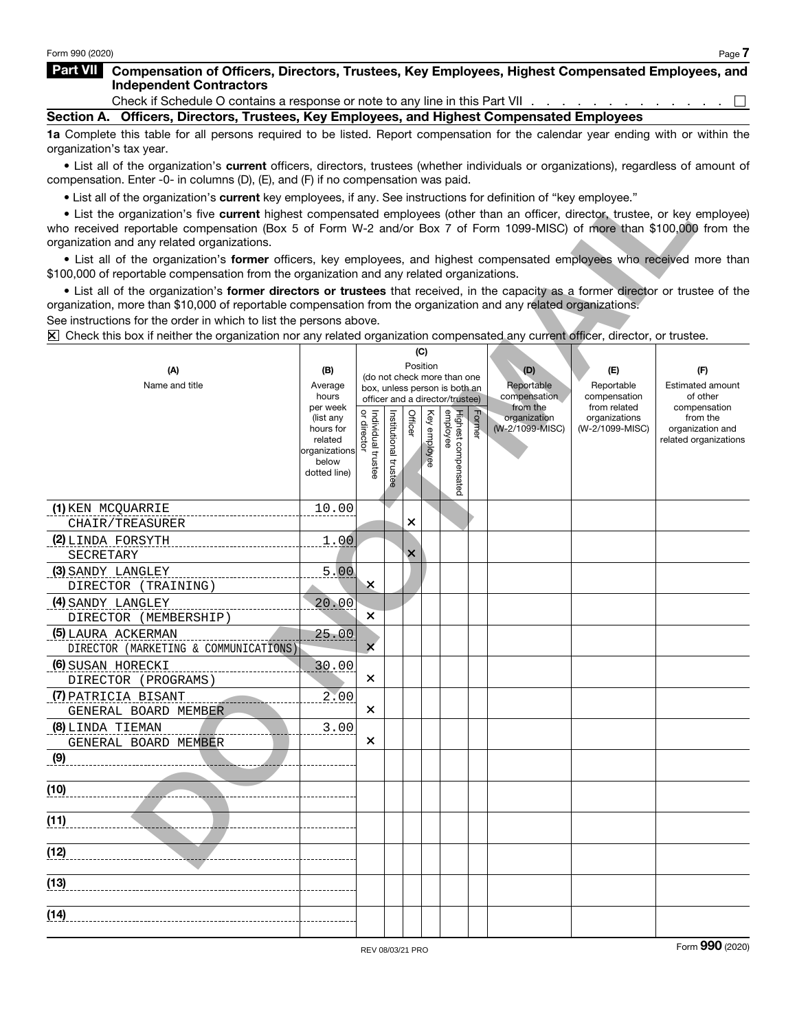# **Part VII Compensation of Officers, Directors, Trustees, Key Employees, Highest Compensated Employees, and Independent Contractors**

Check if Schedule O contains a response or note to any line in this Part VII . . .  $\Box$ **Section A. Officers, Directors, Trustees, Key Employees, and Highest Compensated Employees**

**1a** Complete this table for all persons required to be listed. Report compensation for the calendar year ending with or within the organization's tax year.

• List all of the organization's **current** officers, directors, trustees (whether individuals or organizations), regardless of amount of compensation. Enter -0- in columns (D), (E), and (F) if no compensation was paid.

| compensation. Enter -0- in columns (D), (E), and (F) if no compensation was paid.                                                                                                                                                                                                                          |                       |                                     |                       |          |              |                                 |        |                          |                              |                                           |
|------------------------------------------------------------------------------------------------------------------------------------------------------------------------------------------------------------------------------------------------------------------------------------------------------------|-----------------------|-------------------------------------|-----------------------|----------|--------------|---------------------------------|--------|--------------------------|------------------------------|-------------------------------------------|
| • List all of the organization's current key employees, if any. See instructions for definition of "key employee."                                                                                                                                                                                         |                       |                                     |                       |          |              |                                 |        |                          |                              |                                           |
| • List the organization's five current highest compensated employees (other than an officer, director, trustee, or key employee)<br>who received reportable compensation (Box 5 of Form W-2 and/or Box 7 of Form 1099-MISC) of more than \$100,000 from the<br>organization and any related organizations. |                       |                                     |                       |          |              |                                 |        |                          |                              |                                           |
| • List all of the organization's former officers, key employees, and highest compensated employees who received more than                                                                                                                                                                                  |                       |                                     |                       |          |              |                                 |        |                          |                              |                                           |
| \$100,000 of reportable compensation from the organization and any related organizations.                                                                                                                                                                                                                  |                       |                                     |                       |          |              |                                 |        |                          |                              |                                           |
| . List all of the organization's former directors or trustees that received, in the capacity as a former director or trustee of the                                                                                                                                                                        |                       |                                     |                       |          |              |                                 |        |                          |                              |                                           |
| organization, more than \$10,000 of reportable compensation from the organization and any related organizations.                                                                                                                                                                                           |                       |                                     |                       |          |              |                                 |        |                          |                              |                                           |
| See instructions for the order in which to list the persons above.                                                                                                                                                                                                                                         |                       |                                     |                       |          |              |                                 |        |                          |                              |                                           |
| $\overline{\mathbb{X}}$ Check this box if neither the organization nor any related organization compensated any current officer, director, or trustee.                                                                                                                                                     |                       |                                     |                       |          |              |                                 |        |                          |                              |                                           |
|                                                                                                                                                                                                                                                                                                            |                       |                                     |                       |          | (C)          |                                 |        |                          |                              |                                           |
| (A)                                                                                                                                                                                                                                                                                                        | (B)                   |                                     |                       | Position |              | (do not check more than one     |        | (D)                      | (E)                          | (F)                                       |
| Name and title                                                                                                                                                                                                                                                                                             | Average               |                                     |                       |          |              | box, unless person is both an   |        | Reportable               | Reportable                   | <b>Estimated amount</b>                   |
|                                                                                                                                                                                                                                                                                                            | hours<br>per week     |                                     |                       |          |              | officer and a director/trustee) |        | compensation<br>from the | compensation<br>from related | of other<br>compensation                  |
|                                                                                                                                                                                                                                                                                                            | (list any             | Individual trustee<br>  or director | Institutional trustee | Officer  | Key employee | Highest compensated<br>employee | Former | organization             | organizations                | from the                                  |
|                                                                                                                                                                                                                                                                                                            | hours for<br>related  |                                     |                       |          |              |                                 |        | (W-2/1099-MISC)          | (W-2/1099-MISC)              | organization and<br>related organizations |
|                                                                                                                                                                                                                                                                                                            | organizations         |                                     |                       |          |              |                                 |        |                          |                              |                                           |
|                                                                                                                                                                                                                                                                                                            | below<br>dotted line) |                                     |                       |          |              |                                 |        |                          |                              |                                           |
|                                                                                                                                                                                                                                                                                                            |                       |                                     |                       |          |              |                                 |        |                          |                              |                                           |
| (1) KEN MCQUARRIE                                                                                                                                                                                                                                                                                          | 10.00                 |                                     |                       |          |              |                                 |        |                          |                              |                                           |
| CHAIR/TREASURER                                                                                                                                                                                                                                                                                            |                       |                                     |                       | ×        |              |                                 |        |                          |                              |                                           |
| (2) LINDA FORSYTH                                                                                                                                                                                                                                                                                          | 1.00                  |                                     |                       |          |              |                                 |        |                          |                              |                                           |
| SECRETARY                                                                                                                                                                                                                                                                                                  |                       |                                     |                       | ×        |              |                                 |        |                          |                              |                                           |
| (3) SANDY LANGLEY                                                                                                                                                                                                                                                                                          | 5.00                  |                                     |                       |          |              |                                 |        |                          |                              |                                           |
| DIRECTOR (TRAINING)                                                                                                                                                                                                                                                                                        |                       | ×                                   |                       |          |              |                                 |        |                          |                              |                                           |
| (4) SANDY LANGLEY                                                                                                                                                                                                                                                                                          | 20.00                 |                                     |                       |          |              |                                 |        |                          |                              |                                           |
| DIRECTOR (MEMBERSHIP)                                                                                                                                                                                                                                                                                      |                       | ×                                   |                       |          |              |                                 |        |                          |                              |                                           |
| (5) LAURA ACKERMAN                                                                                                                                                                                                                                                                                         | 25.00                 |                                     |                       |          |              |                                 |        |                          |                              |                                           |
| DIRECTOR (MARKETING & COMMUNICATIONS)                                                                                                                                                                                                                                                                      |                       | ×                                   |                       |          |              |                                 |        |                          |                              |                                           |
| (6) SUSAN HORECKI                                                                                                                                                                                                                                                                                          | 30.00                 |                                     |                       |          |              |                                 |        |                          |                              |                                           |
| DIRECTOR (PROGRAMS)                                                                                                                                                                                                                                                                                        |                       | X                                   |                       |          |              |                                 |        |                          |                              |                                           |
| (7) PATRICIA BISANT                                                                                                                                                                                                                                                                                        | 2.00                  |                                     |                       |          |              |                                 |        |                          |                              |                                           |
| GENERAL BOARD MEMBER                                                                                                                                                                                                                                                                                       |                       | X                                   |                       |          |              |                                 |        |                          |                              |                                           |
| (8) LINDA TIEMAN                                                                                                                                                                                                                                                                                           | 3.00                  | X                                   |                       |          |              |                                 |        |                          |                              |                                           |
| GENERAL BOARD MEMBER<br>$\mathsf{IQ}$                                                                                                                                                                                                                                                                      |                       |                                     |                       |          |              |                                 |        |                          |                              |                                           |
|                                                                                                                                                                                                                                                                                                            |                       |                                     |                       |          |              |                                 |        |                          |                              |                                           |
| (10)                                                                                                                                                                                                                                                                                                       |                       |                                     |                       |          |              |                                 |        |                          |                              |                                           |
|                                                                                                                                                                                                                                                                                                            |                       |                                     |                       |          |              |                                 |        |                          |                              |                                           |
| (11)                                                                                                                                                                                                                                                                                                       |                       |                                     |                       |          |              |                                 |        |                          |                              |                                           |
|                                                                                                                                                                                                                                                                                                            |                       |                                     |                       |          |              |                                 |        |                          |                              |                                           |
| (12)                                                                                                                                                                                                                                                                                                       |                       |                                     |                       |          |              |                                 |        |                          |                              |                                           |
|                                                                                                                                                                                                                                                                                                            |                       |                                     |                       |          |              |                                 |        |                          |                              |                                           |
| (13)                                                                                                                                                                                                                                                                                                       |                       |                                     |                       |          |              |                                 |        |                          |                              |                                           |
|                                                                                                                                                                                                                                                                                                            |                       |                                     |                       |          |              |                                 |        |                          |                              |                                           |
| (14)                                                                                                                                                                                                                                                                                                       |                       |                                     |                       |          |              |                                 |        |                          |                              |                                           |
|                                                                                                                                                                                                                                                                                                            |                       |                                     |                       |          |              |                                 |        |                          |                              |                                           |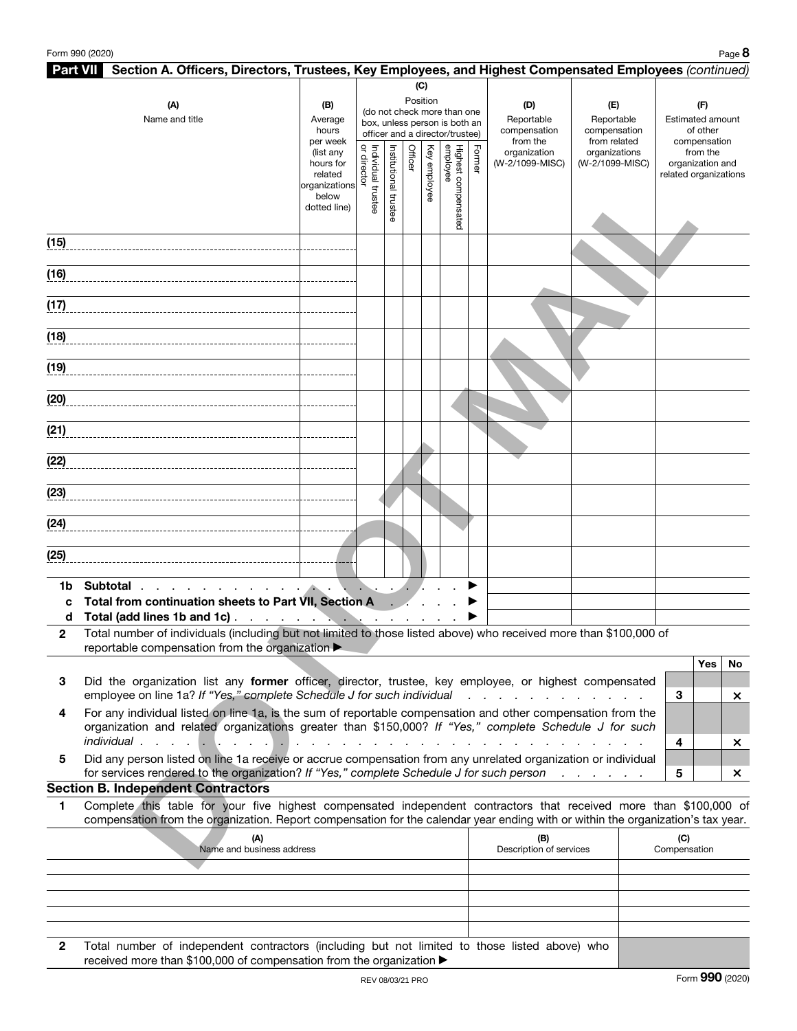|      | Part VII Section A. Officers, Directors, Trustees, Key Employees, and Highest Compensated Employees (continued)                                                                                                                                        |                          |                                   |                       |                      |              |                                                              |        |                                                                                                                                      |                               |  |                       |                          |    |
|------|--------------------------------------------------------------------------------------------------------------------------------------------------------------------------------------------------------------------------------------------------------|--------------------------|-----------------------------------|-----------------------|----------------------|--------------|--------------------------------------------------------------|--------|--------------------------------------------------------------------------------------------------------------------------------------|-------------------------------|--|-----------------------|--------------------------|----|
|      |                                                                                                                                                                                                                                                        |                          |                                   |                       |                      | (C)          |                                                              |        |                                                                                                                                      |                               |  |                       |                          |    |
|      | (A)                                                                                                                                                                                                                                                    | (B)                      |                                   |                       |                      | Position     |                                                              |        | (D)                                                                                                                                  | (E)                           |  |                       | (F)                      |    |
|      | Name and title                                                                                                                                                                                                                                         | Average                  |                                   |                       |                      |              | (do not check more than one<br>box, unless person is both an |        | Reportable                                                                                                                           | Reportable                    |  |                       | Estimated amount         |    |
|      |                                                                                                                                                                                                                                                        | hours                    |                                   |                       |                      |              | officer and a director/trustee)                              |        | compensation                                                                                                                         | compensation                  |  |                       | of other                 |    |
|      |                                                                                                                                                                                                                                                        | per week<br>(list any    |                                   |                       |                      |              |                                                              |        | from the<br>organization                                                                                                             | from related<br>organizations |  |                       | compensation<br>from the |    |
|      |                                                                                                                                                                                                                                                        | hours for                |                                   |                       | Officer              | Key employee |                                                              | Former | (W-2/1099-MISC)                                                                                                                      | (W-2/1099-MISC)               |  |                       | organization and         |    |
|      |                                                                                                                                                                                                                                                        | related<br>organizations |                                   |                       |                      |              |                                                              |        |                                                                                                                                      |                               |  | related organizations |                          |    |
|      |                                                                                                                                                                                                                                                        | below                    | Individual trustee<br>or director |                       |                      |              |                                                              |        |                                                                                                                                      |                               |  |                       |                          |    |
|      |                                                                                                                                                                                                                                                        | dotted line)             |                                   | Institutional trustee |                      |              | Highest compensated<br>employee                              |        |                                                                                                                                      |                               |  |                       |                          |    |
|      |                                                                                                                                                                                                                                                        |                          |                                   |                       |                      |              |                                                              |        |                                                                                                                                      |                               |  |                       |                          |    |
| (15) |                                                                                                                                                                                                                                                        |                          |                                   |                       |                      |              |                                                              |        |                                                                                                                                      |                               |  |                       |                          |    |
|      |                                                                                                                                                                                                                                                        |                          |                                   |                       |                      |              |                                                              |        |                                                                                                                                      |                               |  |                       |                          |    |
| (16) |                                                                                                                                                                                                                                                        |                          |                                   |                       |                      |              |                                                              |        |                                                                                                                                      |                               |  |                       |                          |    |
|      |                                                                                                                                                                                                                                                        |                          |                                   |                       |                      |              |                                                              |        |                                                                                                                                      |                               |  |                       |                          |    |
| (17) |                                                                                                                                                                                                                                                        |                          |                                   |                       |                      |              |                                                              |        |                                                                                                                                      |                               |  |                       |                          |    |
|      |                                                                                                                                                                                                                                                        |                          |                                   |                       |                      |              |                                                              |        |                                                                                                                                      |                               |  |                       |                          |    |
| (18) |                                                                                                                                                                                                                                                        |                          |                                   |                       |                      |              |                                                              |        |                                                                                                                                      |                               |  |                       |                          |    |
|      |                                                                                                                                                                                                                                                        |                          |                                   |                       |                      |              |                                                              |        |                                                                                                                                      |                               |  |                       |                          |    |
| (19) |                                                                                                                                                                                                                                                        |                          |                                   |                       |                      |              |                                                              |        |                                                                                                                                      |                               |  |                       |                          |    |
|      |                                                                                                                                                                                                                                                        |                          |                                   |                       |                      |              |                                                              |        |                                                                                                                                      |                               |  |                       |                          |    |
| (20) |                                                                                                                                                                                                                                                        |                          |                                   |                       |                      |              |                                                              |        |                                                                                                                                      |                               |  |                       |                          |    |
|      |                                                                                                                                                                                                                                                        |                          |                                   |                       |                      |              |                                                              |        |                                                                                                                                      |                               |  |                       |                          |    |
| (21) |                                                                                                                                                                                                                                                        |                          |                                   |                       |                      |              |                                                              |        |                                                                                                                                      |                               |  |                       |                          |    |
|      |                                                                                                                                                                                                                                                        |                          |                                   |                       |                      |              |                                                              |        |                                                                                                                                      |                               |  |                       |                          |    |
| (22) |                                                                                                                                                                                                                                                        |                          |                                   |                       |                      |              |                                                              |        |                                                                                                                                      |                               |  |                       |                          |    |
|      |                                                                                                                                                                                                                                                        |                          |                                   |                       |                      |              |                                                              |        |                                                                                                                                      |                               |  |                       |                          |    |
| (23) |                                                                                                                                                                                                                                                        |                          |                                   |                       |                      |              |                                                              |        |                                                                                                                                      |                               |  |                       |                          |    |
|      |                                                                                                                                                                                                                                                        |                          |                                   |                       |                      |              |                                                              |        |                                                                                                                                      |                               |  |                       |                          |    |
| (24) |                                                                                                                                                                                                                                                        |                          |                                   |                       |                      |              |                                                              |        |                                                                                                                                      |                               |  |                       |                          |    |
|      |                                                                                                                                                                                                                                                        |                          |                                   |                       |                      |              |                                                              |        |                                                                                                                                      |                               |  |                       |                          |    |
| (25) |                                                                                                                                                                                                                                                        |                          |                                   |                       |                      |              |                                                              |        |                                                                                                                                      |                               |  |                       |                          |    |
|      |                                                                                                                                                                                                                                                        |                          |                                   |                       |                      |              |                                                              |        |                                                                                                                                      |                               |  |                       |                          |    |
| 1b   | Subtotal                                                                                                                                                                                                                                               |                          |                                   |                       |                      |              |                                                              |        |                                                                                                                                      |                               |  |                       |                          |    |
| C    | Total from continuation sheets to Part VII, Section A                                                                                                                                                                                                  |                          |                                   |                       |                      |              |                                                              |        |                                                                                                                                      |                               |  |                       |                          |    |
| d    | Total (add lines 1b and 1c).<br>$\mathcal{A}=\mathcal{A}=\mathcal{A}=\mathcal{A}=\mathcal{A}$ .                                                                                                                                                        |                          |                                   |                       | <b>Service</b> State |              |                                                              |        |                                                                                                                                      |                               |  |                       |                          |    |
| 2    | Total number of individuals (including but not limited to those listed above) who received more than \$100,000 of                                                                                                                                      |                          |                                   |                       |                      |              |                                                              |        |                                                                                                                                      |                               |  |                       |                          |    |
|      | reportable compensation from the organization >                                                                                                                                                                                                        |                          |                                   |                       |                      |              |                                                              |        |                                                                                                                                      |                               |  |                       |                          |    |
|      |                                                                                                                                                                                                                                                        |                          |                                   |                       |                      |              |                                                              |        |                                                                                                                                      |                               |  |                       | <b>Yes</b>               | No |
| 3    | Did the organization list any former officer, director, trustee, key employee, or highest compensated                                                                                                                                                  |                          |                                   |                       |                      |              |                                                              |        |                                                                                                                                      |                               |  |                       |                          |    |
|      | employee on line 1a? If "Yes," complete Schedule J for such individual                                                                                                                                                                                 |                          |                                   |                       |                      |              |                                                              |        | $\mathbf{r}$ , $\mathbf{r}$ , $\mathbf{r}$ , $\mathbf{r}$ , $\mathbf{r}$ , $\mathbf{r}$ , $\mathbf{r}$ , $\mathbf{r}$ , $\mathbf{r}$ |                               |  | 3                     |                          | ×  |
| 4    | For any individual listed on line 1a, is the sum of reportable compensation and other compensation from the                                                                                                                                            |                          |                                   |                       |                      |              |                                                              |        |                                                                                                                                      |                               |  |                       |                          |    |
|      | organization and related organizations greater than \$150,000? If "Yes," complete Schedule J for such                                                                                                                                                  |                          |                                   |                       |                      |              |                                                              |        |                                                                                                                                      |                               |  |                       |                          |    |
|      | <i>individual</i><br>$\mathbf{r}$ . The set of the set of the set of the set of the set of the set of the set of the set of the set of the set of the set of the set of the set of the set of the set of the set of the set of the set of the set of t |                          |                                   |                       |                      |              |                                                              |        |                                                                                                                                      |                               |  | 4                     |                          | ×  |
| 5    | Did any person listed on line 1a receive or accrue compensation from any unrelated organization or individual                                                                                                                                          |                          |                                   |                       |                      |              |                                                              |        |                                                                                                                                      |                               |  |                       |                          |    |
|      | for services rendered to the organization? If "Yes," complete Schedule J for such person                                                                                                                                                               |                          |                                   |                       |                      |              |                                                              |        |                                                                                                                                      | and the company of the        |  | 5                     |                          | ×  |
|      | <b>Section B. Independent Contractors</b>                                                                                                                                                                                                              |                          |                                   |                       |                      |              |                                                              |        |                                                                                                                                      |                               |  |                       |                          |    |
| 1    | Complete this table for your five highest compensated independent contractors that received more than \$100,000 of                                                                                                                                     |                          |                                   |                       |                      |              |                                                              |        |                                                                                                                                      |                               |  |                       |                          |    |
|      | compensation from the organization. Report compensation for the calendar year ending with or within the organization's tax year.                                                                                                                       |                          |                                   |                       |                      |              |                                                              |        |                                                                                                                                      |                               |  |                       |                          |    |
|      |                                                                                                                                                                                                                                                        |                          |                                   |                       |                      |              |                                                              |        |                                                                                                                                      |                               |  |                       |                          |    |
|      | (A)<br>Name and business address                                                                                                                                                                                                                       |                          |                                   |                       |                      |              |                                                              |        | (B)<br>Description of services                                                                                                       |                               |  | (C)<br>Compensation   |                          |    |
|      |                                                                                                                                                                                                                                                        |                          |                                   |                       |                      |              |                                                              |        |                                                                                                                                      |                               |  |                       |                          |    |
|      |                                                                                                                                                                                                                                                        |                          |                                   |                       |                      |              |                                                              |        |                                                                                                                                      |                               |  |                       |                          |    |
|      |                                                                                                                                                                                                                                                        |                          |                                   |                       |                      |              |                                                              |        |                                                                                                                                      |                               |  |                       |                          |    |
|      |                                                                                                                                                                                                                                                        |                          |                                   |                       |                      |              |                                                              |        |                                                                                                                                      |                               |  |                       |                          |    |
|      |                                                                                                                                                                                                                                                        |                          |                                   |                       |                      |              |                                                              |        |                                                                                                                                      |                               |  |                       |                          |    |

|  | Total number of independent contractors (including but not limited to those listed above) who |  |  |  |  |  |
|--|-----------------------------------------------------------------------------------------------|--|--|--|--|--|
|  | received more than \$100,000 of compensation from the organization $\blacktriangleright$      |  |  |  |  |  |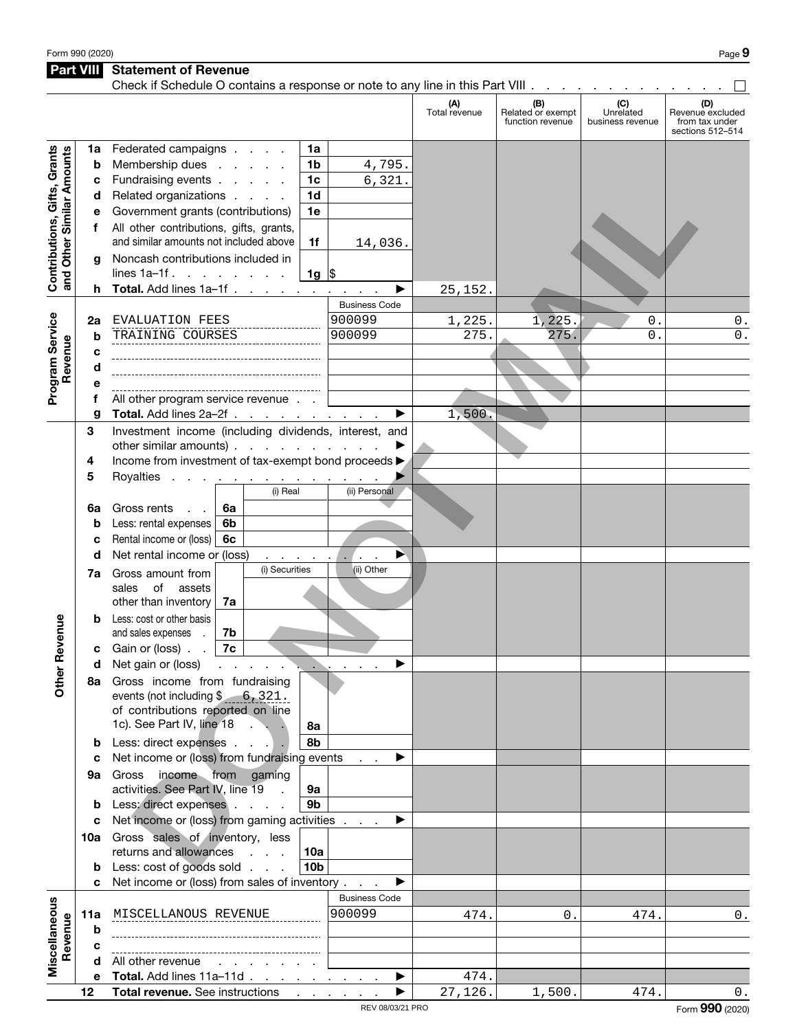**Part VIII Statement of Revenue**<br>Check if Schedule Q contain

|                                                           |         | Check if Schedule O contains a response or note to any line in this Part VIII              |                      |                      |                                              |                                      |                                                               |
|-----------------------------------------------------------|---------|--------------------------------------------------------------------------------------------|----------------------|----------------------|----------------------------------------------|--------------------------------------|---------------------------------------------------------------|
|                                                           |         |                                                                                            |                      | (A)<br>Total revenue | (B)<br>Related or exempt<br>function revenue | (C)<br>Unrelated<br>business revenue | (D)<br>Revenue excluded<br>from tax under<br>sections 512-514 |
|                                                           | 1a      | Federated campaigns<br>1a                                                                  |                      |                      |                                              |                                      |                                                               |
|                                                           | b       | Membership dues<br>1 <sub>b</sub>                                                          | 4,795.               |                      |                                              |                                      |                                                               |
|                                                           | c       | Fundraising events<br>1 <sub>c</sub>                                                       | 6,321.               |                      |                                              |                                      |                                                               |
|                                                           | d       | Related organizations<br>1 <sub>d</sub>                                                    |                      |                      |                                              |                                      |                                                               |
|                                                           | е       | Government grants (contributions)<br>1e                                                    |                      |                      |                                              |                                      |                                                               |
| Contributions, Gifts, Grants<br>and Other Similar Amounts | f       | All other contributions, gifts, grants,                                                    |                      |                      |                                              |                                      |                                                               |
|                                                           |         | and similar amounts not included above<br>1f                                               | 14,036.              |                      |                                              |                                      |                                                               |
|                                                           | a       | Noncash contributions included in                                                          |                      |                      |                                              |                                      |                                                               |
|                                                           |         | lines $1a-1f$ .<br>1g $ $ \$                                                               |                      |                      |                                              |                                      |                                                               |
|                                                           | h.      | Total. Add lines 1a-1f                                                                     | <b>Business Code</b> | 25, 152.             |                                              |                                      |                                                               |
|                                                           | 2a      | EVALUATION FEES                                                                            | 900099               | 1,225.               | 1,225                                        | $\mathsf{O}$                         |                                                               |
|                                                           | b       | TRAINING COURSES                                                                           | 900099               | 275.                 | 275.                                         | 0.                                   | 0.<br>$\overline{0}$ .                                        |
| Revenue                                                   | c       |                                                                                            |                      |                      |                                              |                                      |                                                               |
|                                                           | d       |                                                                                            |                      |                      |                                              |                                      |                                                               |
|                                                           | е       |                                                                                            |                      |                      |                                              |                                      |                                                               |
| Program Service                                           | f       | All other program service revenue                                                          |                      |                      |                                              |                                      |                                                               |
|                                                           | g       | Total. Add lines 2a-2f                                                                     | ▶                    | 1,500.               |                                              |                                      |                                                               |
|                                                           | 3       | Investment income (including dividends, interest, and                                      |                      |                      |                                              |                                      |                                                               |
|                                                           |         | other similar amounts)                                                                     |                      |                      |                                              |                                      |                                                               |
|                                                           | 4       | Income from investment of tax-exempt bond proceeds                                         |                      |                      |                                              |                                      |                                                               |
|                                                           | 5       | Royalties<br>and a series of the contract of the<br>(i) Real                               |                      |                      |                                              |                                      |                                                               |
|                                                           |         | Gross rents                                                                                | (ii) Personal        |                      |                                              |                                      |                                                               |
|                                                           | 6а<br>b | 6a<br>Less: rental expenses<br>6b                                                          |                      |                      |                                              |                                      |                                                               |
|                                                           | c       | Rental income or (loss)<br>6с                                                              |                      |                      |                                              |                                      |                                                               |
|                                                           | d       | Net rental income or (loss)                                                                | ▶                    |                      |                                              |                                      |                                                               |
|                                                           | 7a      | (i) Securities<br>Gross amount from                                                        | (ii) Other           |                      |                                              |                                      |                                                               |
|                                                           |         | of<br>sales<br>assets                                                                      |                      |                      |                                              |                                      |                                                               |
|                                                           |         | other than inventory<br>7a                                                                 |                      |                      |                                              |                                      |                                                               |
|                                                           |         | Less: cost or other basis                                                                  |                      |                      |                                              |                                      |                                                               |
| Other Revenue                                             |         | and sales expenses<br>7b                                                                   |                      |                      |                                              |                                      |                                                               |
|                                                           | c       | Gain or (loss).<br>7c                                                                      |                      |                      |                                              |                                      |                                                               |
|                                                           | d       | Net gain or (loss)<br><b>Contractor</b>                                                    |                      |                      |                                              |                                      |                                                               |
|                                                           | 8а      | Gross income from fundraising                                                              |                      |                      |                                              |                                      |                                                               |
|                                                           |         | events (not including $$6, 321$ .<br>of contributions reported on line                     |                      |                      |                                              |                                      |                                                               |
|                                                           |         | 1c). See Part IV, line 18<br>8a                                                            |                      |                      |                                              |                                      |                                                               |
|                                                           | b       | Less: direct expenses<br>8b                                                                |                      |                      |                                              |                                      |                                                               |
|                                                           | с       | Net income or (loss) from fundraising events                                               | ▶                    |                      |                                              |                                      |                                                               |
|                                                           | 9а      | Gross income from gaming                                                                   |                      |                      |                                              |                                      |                                                               |
|                                                           |         | activities. See Part IV, line 19<br>9a                                                     |                      |                      |                                              |                                      |                                                               |
|                                                           | b       | Less: direct expenses<br>9 <sub>b</sub>                                                    |                      |                      |                                              |                                      |                                                               |
|                                                           | c       | Net income or (loss) from gaming activities                                                | ▶                    |                      |                                              |                                      |                                                               |
|                                                           |         | 10a Gross sales of inventory, less                                                         |                      |                      |                                              |                                      |                                                               |
|                                                           |         | returns and allowances<br>10a<br>$\mathcal{L}^{\text{max}}$ and $\mathcal{L}^{\text{max}}$ |                      |                      |                                              |                                      |                                                               |
|                                                           | b       | Less: cost of goods sold<br>10 <sub>b</sub>                                                |                      |                      |                                              |                                      |                                                               |
|                                                           | c       | Net income or (loss) from sales of inventory                                               | <b>Business Code</b> |                      |                                              |                                      |                                                               |
| Miscellaneous                                             | 11a     | MISCELLANOUS REVENUE                                                                       | 900099               | 474.                 | 0.                                           | 474.                                 | 0.                                                            |
| Revenue                                                   | b       |                                                                                            |                      |                      |                                              |                                      |                                                               |
|                                                           | с       |                                                                                            |                      |                      |                                              |                                      |                                                               |
|                                                           | d       | All other revenue<br>and the company of the company of                                     |                      |                      |                                              |                                      |                                                               |
|                                                           | е       | Total. Add lines 11a-11d                                                                   | ▶                    | 474.                 |                                              |                                      |                                                               |
|                                                           | 12      | Total revenue. See instructions                                                            |                      | 27,126.              | 1,500.                                       | 474.                                 | 0.                                                            |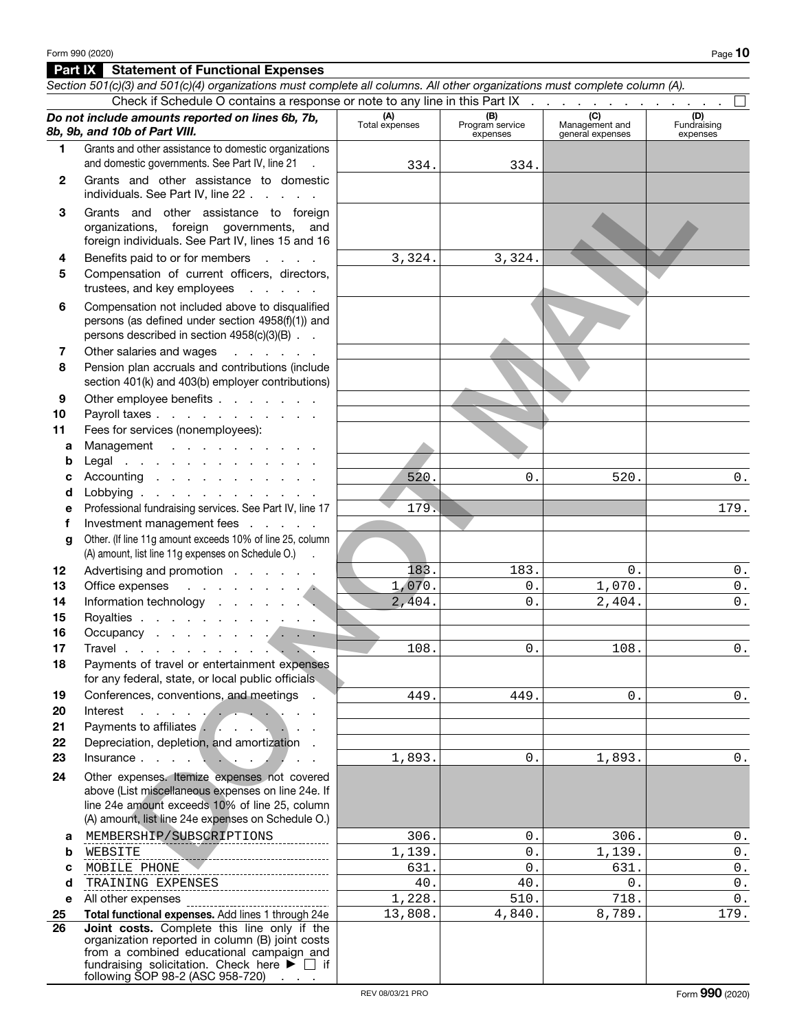# **Part IX Statement of Functional Expenses**

|                 | Section 501(c)(3) and 501(c)(4) organizations must complete all columns. All other organizations must complete column (A).                                                                                                        |                       |                                    |                                           |                                |
|-----------------|-----------------------------------------------------------------------------------------------------------------------------------------------------------------------------------------------------------------------------------|-----------------------|------------------------------------|-------------------------------------------|--------------------------------|
|                 | Check if Schedule O contains a response or note to any line in this Part IX                                                                                                                                                       |                       |                                    |                                           |                                |
|                 | Do not include amounts reported on lines 6b, 7b,<br>8b, 9b, and 10b of Part VIII.                                                                                                                                                 | (A)<br>Total expenses | (B)<br>Program service<br>expenses | (C)<br>Management and<br>general expenses | (D)<br>Fundraising<br>expenses |
| 1               | Grants and other assistance to domestic organizations                                                                                                                                                                             |                       |                                    |                                           |                                |
|                 | and domestic governments. See Part IV, line 21                                                                                                                                                                                    | 334.                  | 334.                               |                                           |                                |
| $\mathbf{2}$    | Grants and other assistance to domestic<br>individuals. See Part IV, line 22                                                                                                                                                      |                       |                                    |                                           |                                |
| 3               | Grants and other assistance to foreign<br>organizations, foreign governments, and<br>foreign individuals. See Part IV, lines 15 and 16                                                                                            |                       |                                    |                                           |                                |
| 4               | Benefits paid to or for members                                                                                                                                                                                                   | 3,324.                | 3,324.                             |                                           |                                |
| 5               | Compensation of current officers, directors,<br>trustees, and key employees<br><b>Service Control</b>                                                                                                                             |                       |                                    |                                           |                                |
| 6               | Compensation not included above to disqualified<br>persons (as defined under section 4958(f)(1)) and<br>persons described in section 4958(c)(3)(B)                                                                                |                       |                                    |                                           |                                |
| 7               | Other salaries and wages<br><b>Contract Contract Contract</b>                                                                                                                                                                     |                       |                                    |                                           |                                |
| 8               | Pension plan accruals and contributions (include<br>section 401(k) and 403(b) employer contributions)                                                                                                                             |                       |                                    |                                           |                                |
| 9               | Other employee benefits                                                                                                                                                                                                           |                       |                                    |                                           |                                |
| 10              | Payroll taxes                                                                                                                                                                                                                     |                       |                                    |                                           |                                |
| 11              | Fees for services (nonemployees):                                                                                                                                                                                                 |                       |                                    |                                           |                                |
| a               | Management                                                                                                                                                                                                                        |                       |                                    |                                           |                                |
| b               | Legal $\ldots$ $\ldots$ $\ldots$ $\ldots$ $\ldots$                                                                                                                                                                                |                       |                                    |                                           |                                |
| c               | Accounting                                                                                                                                                                                                                        | 520.                  | 0.                                 | 520.                                      | $0$ .                          |
| d               | Lobbying                                                                                                                                                                                                                          |                       |                                    |                                           |                                |
| е               | Professional fundraising services. See Part IV, line 17                                                                                                                                                                           | 179.                  |                                    |                                           | 179.                           |
| f               | Investment management fees                                                                                                                                                                                                        |                       |                                    |                                           |                                |
| g               | Other. (If line 11g amount exceeds 10% of line 25, column                                                                                                                                                                         |                       |                                    |                                           |                                |
|                 | (A) amount, list line 11g expenses on Schedule O.) .                                                                                                                                                                              |                       |                                    |                                           |                                |
| 12 <sub>2</sub> | Advertising and promotion                                                                                                                                                                                                         | 183.                  | 183.                               | 0.                                        | $0$ .                          |
| 13              | Office expenses<br>the contract of the contract of the                                                                                                                                                                            | 1,070.                | 0.                                 | 1,070.                                    | $\mathbf 0$ .                  |
| 14              | Information technology exercise and the set of the set of the set of the set of the set of the set of the set of the set of the set of the set of the set of the set of the set of the set of the set of the set of the set of    | 2,404.                | 0.                                 | 2,404.                                    | $\,0$ .                        |
| 15              | Royalties                                                                                                                                                                                                                         |                       |                                    |                                           |                                |
| 16              | Occupancy                                                                                                                                                                                                                         |                       |                                    |                                           |                                |
| 17              | Travel<br><b>Service</b>                                                                                                                                                                                                          | 108.                  | 0.                                 | 108.                                      | $\mathsf{0}$ .                 |
| 18              | Payments of travel or entertainment expenses<br>for any federal, state, or local public officials                                                                                                                                 |                       |                                    |                                           |                                |
| 19              | Conferences, conventions, and meetings .                                                                                                                                                                                          | 449.                  | 449.                               | 0.                                        | $0$ .                          |
| 20              | Interest<br>the contract of the contract of the                                                                                                                                                                                   |                       |                                    |                                           |                                |
| 21              | Payments to affiliates                                                                                                                                                                                                            |                       |                                    |                                           |                                |
| 22<br>23        | Depreciation, depletion, and amortization.                                                                                                                                                                                        | 1,893.                | 0.                                 | 1,893.                                    |                                |
|                 |                                                                                                                                                                                                                                   |                       |                                    |                                           | $0$ .                          |
| 24              | Other expenses. Itemize expenses not covered<br>above (List miscellaneous expenses on line 24e. If                                                                                                                                |                       |                                    |                                           |                                |
|                 | line 24e amount exceeds 10% of line 25, column                                                                                                                                                                                    |                       |                                    |                                           |                                |
|                 | (A) amount, list line 24e expenses on Schedule O.)                                                                                                                                                                                |                       |                                    |                                           |                                |
| а               | MEMBERSHIP/SUBSCRIPTIONS                                                                                                                                                                                                          | 306.                  | 0.                                 | 306.                                      | 0.                             |
| b               | WEBSITE<br>_______________________________                                                                                                                                                                                        | 1,139.                | 0.                                 | 1,139.                                    | $\mathbf 0$ .                  |
| c               | MOBILE PHONE                                                                                                                                                                                                                      | 631                   | 0.                                 | 631.                                      | $\mathbf 0$ .                  |
| d               | TRAINING EXPENSES                                                                                                                                                                                                                 | 40.                   | 40.                                | $0$ .                                     | $\mathbf 0$ .                  |
| е               | All other expenses<br>. ________________________________                                                                                                                                                                          | 1,228.                | 510.                               | 718.                                      | 0.                             |
| 25              | Total functional expenses. Add lines 1 through 24e                                                                                                                                                                                | 13,808.               | 4,840.                             | 8,789.                                    | 179.                           |
| 26              | Joint costs. Complete this line only if the                                                                                                                                                                                       |                       |                                    |                                           |                                |
|                 | organization reported in column (B) joint costs<br>from a combined educational campaign and<br>fundraising solicitation. Check here $\blacktriangleright \Box$ if<br>following SOP 98-2 (ASC 958-720)<br><b>Contract Contract</b> |                       |                                    |                                           |                                |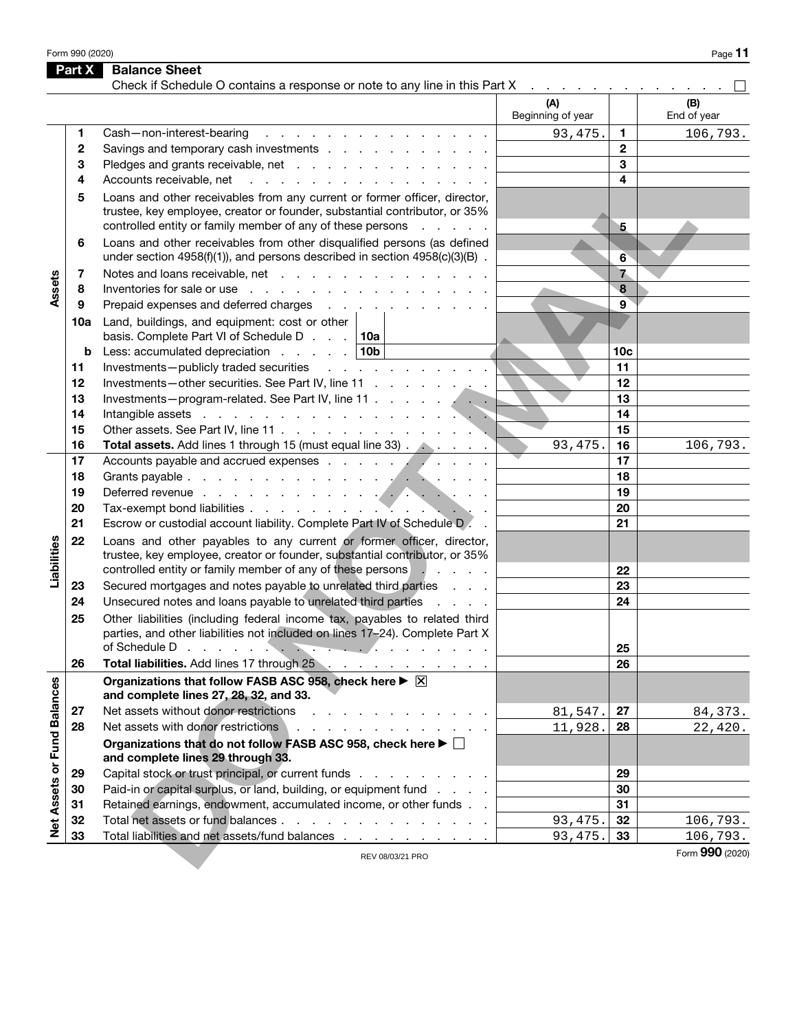Form 990 (2020) Page **11** 

|                             | Part X       | <b>Balance Sheet</b><br>Check if Schedule O contains a response or note to any line in this Part X                                                                                                                                                                                 |                                                                             |                 |                    |
|-----------------------------|--------------|------------------------------------------------------------------------------------------------------------------------------------------------------------------------------------------------------------------------------------------------------------------------------------|-----------------------------------------------------------------------------|-----------------|--------------------|
|                             |              |                                                                                                                                                                                                                                                                                    | the contract of the contract of the contract of<br>(A)<br>Beginning of year |                 | (B)<br>End of year |
|                             | 1            | Cash-non-interest-bearing<br>and a series of the contract of the contract of the                                                                                                                                                                                                   | 93, 475.                                                                    | 1               | 106,793.           |
|                             | $\mathbf{2}$ | Savings and temporary cash investments                                                                                                                                                                                                                                             |                                                                             | $\mathbf{2}$    |                    |
|                             | 3            | Pledges and grants receivable, net                                                                                                                                                                                                                                                 |                                                                             | 3               |                    |
|                             | 4            | Accounts receivable, net<br>and the state of the state of the state of the state of the state of the state of the state of the state of the                                                                                                                                        |                                                                             | 4               |                    |
|                             | 5            | Loans and other receivables from any current or former officer, director,<br>trustee, key employee, creator or founder, substantial contributor, or 35%<br>controlled entity or family member of any of these persons<br>and a state                                               |                                                                             | $5\phantom{.}$  |                    |
|                             | 6            | Loans and other receivables from other disqualified persons (as defined<br>under section 4958(f)(1)), and persons described in section 4958(c)(3)(B).                                                                                                                              |                                                                             | 6               |                    |
|                             | 7            | Notes and loans receivable, net                                                                                                                                                                                                                                                    |                                                                             | $\overline{7}$  |                    |
| Assets                      | 8            | Inventories for sale or use $\cdot \cdot \cdot \cdot \cdot \cdot \cdot \cdot \cdot \cdot \cdot \cdot \cdot \cdot \cdot \cdot$                                                                                                                                                      |                                                                             | $\bf{8}$        |                    |
|                             | 9            | Prepaid expenses and deferred charges<br>the contract of the contract of the                                                                                                                                                                                                       |                                                                             | $9^{\circ}$     |                    |
|                             | 10a          | Land, buildings, and equipment: cost or other<br>basis. Complete Part VI of Schedule D. $\ldots$<br>10a                                                                                                                                                                            |                                                                             |                 |                    |
|                             | b            | 10 <sub>b</sub><br>Less: accumulated depreciation $\ldots$ $\ldots$                                                                                                                                                                                                                |                                                                             | 10 <sub>c</sub> |                    |
|                             | 11           | Investments-publicly traded securities<br>and a straightful and a straight                                                                                                                                                                                                         |                                                                             | 11              |                    |
|                             | 12           | Investments-other securities. See Part IV, line 11                                                                                                                                                                                                                                 |                                                                             | 12              |                    |
|                             | 13           | Investments-program-related. See Part IV, line 11                                                                                                                                                                                                                                  |                                                                             | 13              |                    |
|                             | 14           |                                                                                                                                                                                                                                                                                    |                                                                             | 14              |                    |
|                             | 15           |                                                                                                                                                                                                                                                                                    |                                                                             | 15              |                    |
|                             | 16           | Total assets. Add lines 1 through 15 (must equal line 33)                                                                                                                                                                                                                          | 93, 475.                                                                    | 16              | 106,793.           |
|                             | 17           | Accounts payable and accrued expenses                                                                                                                                                                                                                                              |                                                                             | 17              |                    |
|                             | 18           |                                                                                                                                                                                                                                                                                    |                                                                             | 18              |                    |
|                             | 19           | Deferred revenue recover and contact the contact of the contact of the contact of the contact of the contact of the contact of the contact of the contact of the contact of the contact of the contact of the contact of the c                                                     |                                                                             | 19              |                    |
|                             | 20           |                                                                                                                                                                                                                                                                                    |                                                                             | 20              |                    |
|                             | 21           | Escrow or custodial account liability. Complete Part IV of Schedule D. .                                                                                                                                                                                                           |                                                                             | 21              |                    |
| Liabilities                 | 22           | Loans and other payables to any current or former officer, director,<br>trustee, key employee, creator or founder, substantial contributor, or 35%<br>controlled entity or family member of any of these persons<br><b>Contractor</b>                                              |                                                                             | 22              |                    |
|                             | 23           | Secured mortgages and notes payable to unrelated third parties                                                                                                                                                                                                                     |                                                                             | 23              |                    |
|                             | 24           | Unsecured notes and loans payable to unrelated third parties<br><b>Contractor</b>                                                                                                                                                                                                  |                                                                             | 24              |                    |
|                             | 25           | Other liabilities (including federal income tax, payables to related third<br>parties, and other liabilities not included on lines 17-24). Complete Part X                                                                                                                         |                                                                             |                 |                    |
|                             | 26           | <u>man and the contract of the contract of the contract of the contract of the contract of the contract of the contract of the contract of the contract of the contract of the contract of the contract of the contract of the c</u><br>Total liabilities. Add lines 17 through 25 |                                                                             | 25<br>26        |                    |
|                             |              | $\mathbf{r}_i$ , we can assume that $\mathbf{r}_i$ , we can assume that                                                                                                                                                                                                            |                                                                             |                 |                    |
|                             |              | Organizations that follow FASB ASC 958, check here ▶ ⊠<br>and complete lines 27, 28, 32, and 33.                                                                                                                                                                                   |                                                                             |                 |                    |
|                             | 27           | Net assets without donor restrictions<br>the contract of the contract of the contract of                                                                                                                                                                                           | 81,547.                                                                     | 27              | 84, 373.           |
|                             | 28           | Net assets with donor restrictions<br>and the state of the state of the state of                                                                                                                                                                                                   | 11,928.                                                                     | 28              | 22,420.            |
| Net Assets or Fund Balances |              | Organizations that do not follow FASB ASC 958, check here ▶ □<br>and complete lines 29 through 33.                                                                                                                                                                                 |                                                                             |                 |                    |
|                             | 29           | Capital stock or trust principal, or current funds                                                                                                                                                                                                                                 |                                                                             | 29              |                    |
|                             | 30           | Paid-in or capital surplus, or land, building, or equipment fund                                                                                                                                                                                                                   |                                                                             | 30              |                    |
|                             | 31           | Retained earnings, endowment, accumulated income, or other funds                                                                                                                                                                                                                   |                                                                             | 31              |                    |
|                             | 32           | Total net assets or fund balances                                                                                                                                                                                                                                                  | 93, 475.                                                                    | 32              | 106,793.           |
|                             | 33           | Total liabilities and net assets/fund balances                                                                                                                                                                                                                                     | 93, 475.                                                                    | 33              | 106,793.           |
|                             |              | REV 08/03/21 PRO                                                                                                                                                                                                                                                                   |                                                                             |                 | Form 990 (2020)    |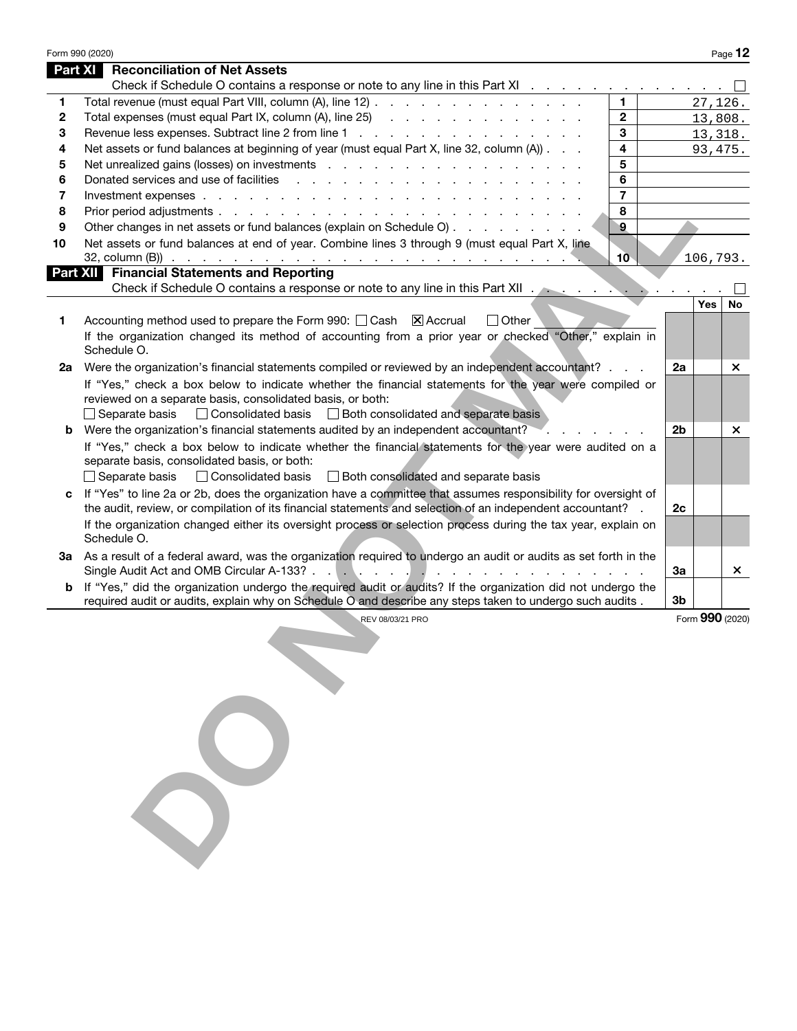|    | Form 990 (2020)                                                                                                                                                                                                                                |                |                 | Page 12   |
|----|------------------------------------------------------------------------------------------------------------------------------------------------------------------------------------------------------------------------------------------------|----------------|-----------------|-----------|
|    | Part XI<br><b>Reconciliation of Net Assets</b>                                                                                                                                                                                                 |                |                 |           |
|    | Check if Schedule O contains a response or note to any line in this Part XI $\ldots$ , $\ldots$ , $\ldots$ , $\ldots$                                                                                                                          |                |                 |           |
| 1  | Total revenue (must equal Part VIII, column (A), line 12)<br>$\mathbf{1}$                                                                                                                                                                      |                | 27,126.         |           |
| 2  | $\mathbf{2}$<br>Total expenses (must equal Part IX, column (A), line 25) (all contacts and contact and contact and contact and contact and contact and contact and contact and contact and contact and contact and contact and contact and con |                | 13,808.         |           |
| 3  | 3                                                                                                                                                                                                                                              |                | 13,318.         |           |
| 4  | $\overline{\mathbf{4}}$<br>Net assets or fund balances at beginning of year (must equal Part X, line 32, column (A))                                                                                                                           |                | 93,475.         |           |
| 5  | 5                                                                                                                                                                                                                                              |                |                 |           |
| 6  | 6<br>Donated services and use of facilities<br>the second contract of the contract of the second contract of                                                                                                                                   |                |                 |           |
| 7  | $\overline{7}$                                                                                                                                                                                                                                 |                |                 |           |
| 8  | 8                                                                                                                                                                                                                                              |                |                 |           |
| 9  | 9<br>Other changes in net assets or fund balances (explain on Schedule O)                                                                                                                                                                      |                |                 |           |
| 10 | Net assets or fund balances at end of year. Combine lines 3 through 9 (must equal Part X, line<br>10 <sup>°</sup>                                                                                                                              |                | 106,793.        |           |
|    | <b>Part XII</b> Financial Statements and Reporting                                                                                                                                                                                             |                |                 |           |
|    | Check if Schedule O contains a response or note to any line in this Part XII                                                                                                                                                                   |                |                 |           |
|    |                                                                                                                                                                                                                                                |                | <b>Yes</b>      | <b>No</b> |
| 1  | $\Box$ Other<br>Accounting method used to prepare the Form 990: $\Box$ Cash $\Box$ Accrual                                                                                                                                                     |                |                 |           |
|    | If the organization changed its method of accounting from a prior year or checked "Other," explain in                                                                                                                                          |                |                 |           |
|    | Schedule O.                                                                                                                                                                                                                                    |                |                 |           |
| 2a | Were the organization's financial statements compiled or reviewed by an independent accountant?                                                                                                                                                | 2a             |                 | ×         |
|    | If "Yes," check a box below to indicate whether the financial statements for the year were compiled or                                                                                                                                         |                |                 |           |
|    | reviewed on a separate basis, consolidated basis, or both:                                                                                                                                                                                     |                |                 |           |
|    | $\Box$ Separate basis $\Box$ Consolidated basis $\Box$ Both consolidated and separate basis                                                                                                                                                    |                |                 |           |
|    | <b>b</b> Were the organization's financial statements audited by an independent accountant?                                                                                                                                                    | 2 <sub>b</sub> |                 | $\times$  |
|    | If "Yes," check a box below to indicate whether the financial statements for the year were audited on a                                                                                                                                        |                |                 |           |
|    | separate basis, consolidated basis, or both:                                                                                                                                                                                                   |                |                 |           |
|    | $\Box$ Separate basis $\Box$ Consolidated basis<br><b>Both consolidated and separate basis</b>                                                                                                                                                 |                |                 |           |
| c  | If "Yes" to line 2a or 2b, does the organization have a committee that assumes responsibility for oversight of                                                                                                                                 |                |                 |           |
|    | the audit, review, or compilation of its financial statements and selection of an independent accountant? .                                                                                                                                    | 2c             |                 |           |
|    | If the organization changed either its oversight process or selection process during the tax year, explain on                                                                                                                                  |                |                 |           |
|    | Schedule O.                                                                                                                                                                                                                                    |                |                 |           |
|    | 3a As a result of a federal award, was the organization required to undergo an audit or audits as set forth in the                                                                                                                             |                |                 |           |
|    |                                                                                                                                                                                                                                                | 3a             |                 | ×         |
|    | If "Yes," did the organization undergo the required audit or audits? If the organization did not undergo the                                                                                                                                   |                |                 |           |
|    | required audit or audits, explain why on Schedule O and describe any steps taken to undergo such audits.                                                                                                                                       | 3 <sub>b</sub> |                 |           |
|    | REV 08/03/21 PRO                                                                                                                                                                                                                               |                | Form 990 (2020) |           |
|    |                                                                                                                                                                                                                                                |                |                 |           |
|    |                                                                                                                                                                                                                                                |                |                 |           |
|    |                                                                                                                                                                                                                                                |                |                 |           |
|    |                                                                                                                                                                                                                                                |                |                 |           |
|    |                                                                                                                                                                                                                                                |                |                 |           |
|    |                                                                                                                                                                                                                                                |                |                 |           |
|    |                                                                                                                                                                                                                                                |                |                 |           |
|    |                                                                                                                                                                                                                                                |                |                 |           |
|    |                                                                                                                                                                                                                                                |                |                 |           |
|    |                                                                                                                                                                                                                                                |                |                 |           |
|    |                                                                                                                                                                                                                                                |                |                 |           |
|    |                                                                                                                                                                                                                                                |                |                 |           |
|    |                                                                                                                                                                                                                                                |                |                 |           |
|    |                                                                                                                                                                                                                                                |                |                 |           |
|    |                                                                                                                                                                                                                                                |                |                 |           |
|    |                                                                                                                                                                                                                                                |                |                 |           |
|    |                                                                                                                                                                                                                                                |                |                 |           |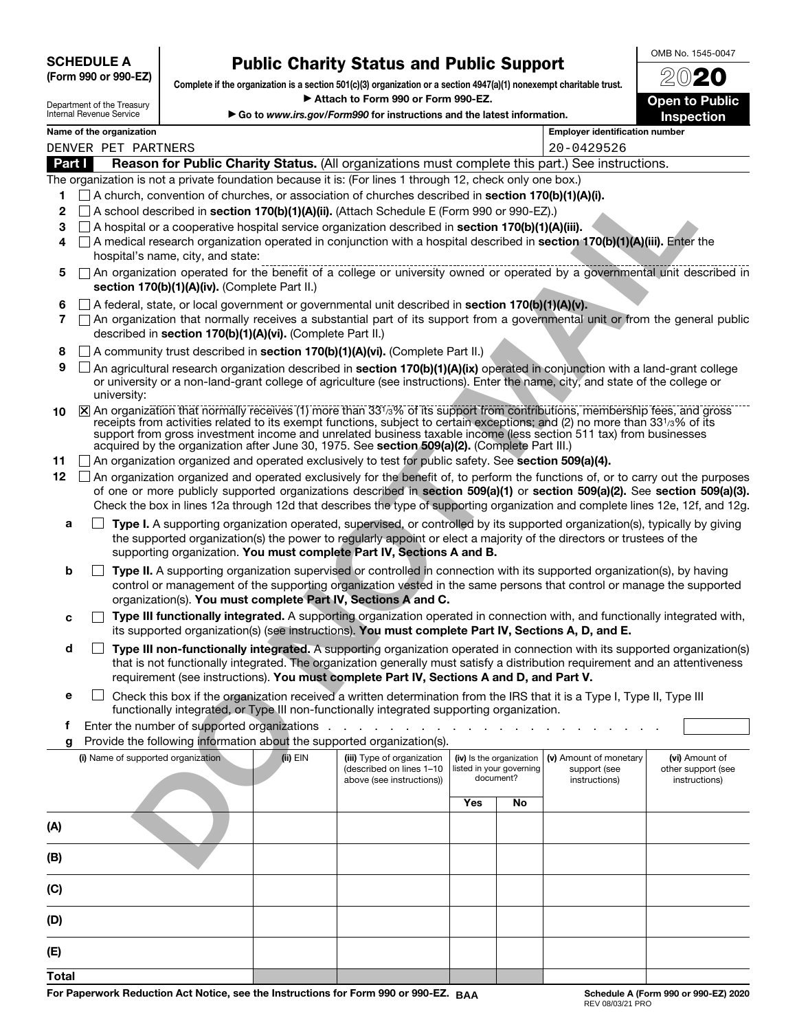**SCHEDULE A (Form 990 or 990-EZ)**

# **Public Charity Status and Public Support**

OMB No. 1545-0047

| Department of the Treasury |
|----------------------------|
| Internal Revenue Service   |

**(C)**

**(D)**

**(E) Total** **Complete if the organization is a section 501(c)(3) organization or a section 4947(a)(1) nonexempt charitable trust.** ▶ Attach to Form 990 or Form 990-EZ.

▶ Go to *www.irs.gov/Form990* for instructions and the latest information.

| 2020                                       |
|--------------------------------------------|
| <b>Open to Public</b><br><b>Inspection</b> |

|        | Name of the organization<br><b>Employer identification number</b>                                                                                                                                                                                                                      |            |                            |     |                                       |                        |                    |
|--------|----------------------------------------------------------------------------------------------------------------------------------------------------------------------------------------------------------------------------------------------------------------------------------------|------------|----------------------------|-----|---------------------------------------|------------------------|--------------------|
|        | DENVER PET PARTNERS                                                                                                                                                                                                                                                                    |            |                            |     |                                       | 20-0429526             |                    |
| Part I | Reason for Public Charity Status. (All organizations must complete this part.) See instructions.                                                                                                                                                                                       |            |                            |     |                                       |                        |                    |
|        | The organization is not a private foundation because it is: (For lines 1 through 12, check only one box.)                                                                                                                                                                              |            |                            |     |                                       |                        |                    |
|        | $\Box$ A church, convention of churches, or association of churches described in <b>section 170(b)(1)(A)(i).</b>                                                                                                                                                                       |            |                            |     |                                       |                        |                    |
| 2      | $\Box$ A school described in <b>section 170(b)(1)(A)(ii).</b> (Attach Schedule E (Form 990 or 990-EZ).)                                                                                                                                                                                |            |                            |     |                                       |                        |                    |
| З      | $\Box$ A hospital or a cooperative hospital service organization described in <b>section 170(b)(1)(A)(iii).</b>                                                                                                                                                                        |            |                            |     |                                       |                        |                    |
| 4      | A medical research organization operated in conjunction with a hospital described in section 170(b)(1)(A)(iii). Enter the                                                                                                                                                              |            |                            |     |                                       |                        |                    |
|        | hospital's name, city, and state:                                                                                                                                                                                                                                                      |            |                            |     |                                       |                        |                    |
| 5      | An organization operated for the benefit of a college or university owned or operated by a governmental unit described in                                                                                                                                                              |            |                            |     |                                       |                        |                    |
|        | section 170(b)(1)(A)(iv). (Complete Part II.)                                                                                                                                                                                                                                          |            |                            |     |                                       |                        |                    |
| 6      | $\Box$ A federal, state, or local government or governmental unit described in <b>section 170(b)(1)(A)(v).</b>                                                                                                                                                                         |            |                            |     |                                       |                        |                    |
| 7      | $\Box$ An organization that normally receives a substantial part of its support from a governmental unit or from the general public                                                                                                                                                    |            |                            |     |                                       |                        |                    |
|        | described in section 170(b)(1)(A)(vi). (Complete Part II.)                                                                                                                                                                                                                             |            |                            |     |                                       |                        |                    |
| 8      | $\Box$ A community trust described in section 170(b)(1)(A)(vi). (Complete Part II.)                                                                                                                                                                                                    |            |                            |     |                                       |                        |                    |
| 9      | An agricultural research organization described in section 170(b)(1)(A)(ix) operated in conjunction with a land-grant college                                                                                                                                                          |            |                            |     |                                       |                        |                    |
|        | or university or a non-land-grant college of agriculture (see instructions). Enter the name, city, and state of the college or                                                                                                                                                         |            |                            |     |                                       |                        |                    |
|        | university:                                                                                                                                                                                                                                                                            |            |                            |     |                                       |                        |                    |
| 10     | [X] An organization that normally receives (1) more than 33 <sup>1</sup> / <sub>3</sub> % of its support from contributions, membership fees, and gross<br>receipts from activities related to its exempt functions, subject to certain exceptions; and (2) no more than 331/3% of its |            |                            |     |                                       |                        |                    |
|        | support from gross investment income and unrelated business taxable income (less section 511 tax) from businesses                                                                                                                                                                      |            |                            |     |                                       |                        |                    |
|        | acquired by the organization after June 30, 1975. See section 509(a)(2). (Complete Part III.)                                                                                                                                                                                          |            |                            |     |                                       |                        |                    |
| 11     | $\Box$ An organization organized and operated exclusively to test for public safety. See section 509(a)(4).                                                                                                                                                                            |            |                            |     |                                       |                        |                    |
| 12     | $\Box$ An organization organized and operated exclusively for the benefit of, to perform the functions of, or to carry out the purposes                                                                                                                                                |            |                            |     |                                       |                        |                    |
|        | of one or more publicly supported organizations described in section 509(a)(1) or section 509(a)(2). See section 509(a)(3).                                                                                                                                                            |            |                            |     |                                       |                        |                    |
|        | Check the box in lines 12a through 12d that describes the type of supporting organization and complete lines 12e, 12f, and 12g.                                                                                                                                                        |            |                            |     |                                       |                        |                    |
| a      | Type I. A supporting organization operated, supervised, or controlled by its supported organization(s), typically by giving                                                                                                                                                            |            |                            |     |                                       |                        |                    |
|        | the supported organization(s) the power to regularly appoint or elect a majority of the directors or trustees of the                                                                                                                                                                   |            |                            |     |                                       |                        |                    |
|        | supporting organization. You must complete Part IV, Sections A and B.                                                                                                                                                                                                                  |            |                            |     |                                       |                        |                    |
| b      | Type II. A supporting organization supervised or controlled in connection with its supported organization(s), by having                                                                                                                                                                |            |                            |     |                                       |                        |                    |
|        | control or management of the supporting organization vested in the same persons that control or manage the supported<br>organization(s). You must complete Part IV, Sections A and C.                                                                                                  |            |                            |     |                                       |                        |                    |
|        | Type III functionally integrated. A supporting organization operated in connection with, and functionally integrated with,                                                                                                                                                             |            |                            |     |                                       |                        |                    |
| c      | its supported organization(s) (see instructions). You must complete Part IV, Sections A, D, and E.                                                                                                                                                                                     |            |                            |     |                                       |                        |                    |
|        |                                                                                                                                                                                                                                                                                        |            |                            |     |                                       |                        |                    |
| d      | Type III non-functionally integrated. A supporting organization operated in connection with its supported organization(s)<br>that is not functionally integrated. The organization generally must satisfy a distribution requirement and an attentiveness                              |            |                            |     |                                       |                        |                    |
|        | requirement (see instructions). You must complete Part IV, Sections A and D, and Part V.                                                                                                                                                                                               |            |                            |     |                                       |                        |                    |
| е      | Check this box if the organization received a written determination from the IRS that it is a Type I, Type II, Type III                                                                                                                                                                |            |                            |     |                                       |                        |                    |
|        | functionally integrated, or Type III non-functionally integrated supporting organization.                                                                                                                                                                                              |            |                            |     |                                       |                        |                    |
| f      | Enter the number of supported organizations .                                                                                                                                                                                                                                          |            |                            |     |                                       |                        |                    |
| g      | Provide the following information about the supported organization(s).                                                                                                                                                                                                                 |            |                            |     |                                       |                        |                    |
|        | (i) Name of supported organization                                                                                                                                                                                                                                                     | $(ii)$ EIN | (iii) Type of organization |     | (iv) Is the organization              | (v) Amount of monetary | (vi) Amount of     |
|        |                                                                                                                                                                                                                                                                                        |            | (described on lines 1-10   |     | listed in your governing<br>document? | support (see           | other support (see |
|        |                                                                                                                                                                                                                                                                                        |            | above (see instructions))  |     |                                       | instructions)          | instructions)      |
|        |                                                                                                                                                                                                                                                                                        |            |                            | Yes | No                                    |                        |                    |
| (A)    |                                                                                                                                                                                                                                                                                        |            |                            |     |                                       |                        |                    |
|        |                                                                                                                                                                                                                                                                                        |            |                            |     |                                       |                        |                    |
| (B)    |                                                                                                                                                                                                                                                                                        |            |                            |     |                                       |                        |                    |
|        |                                                                                                                                                                                                                                                                                        |            |                            |     |                                       |                        |                    |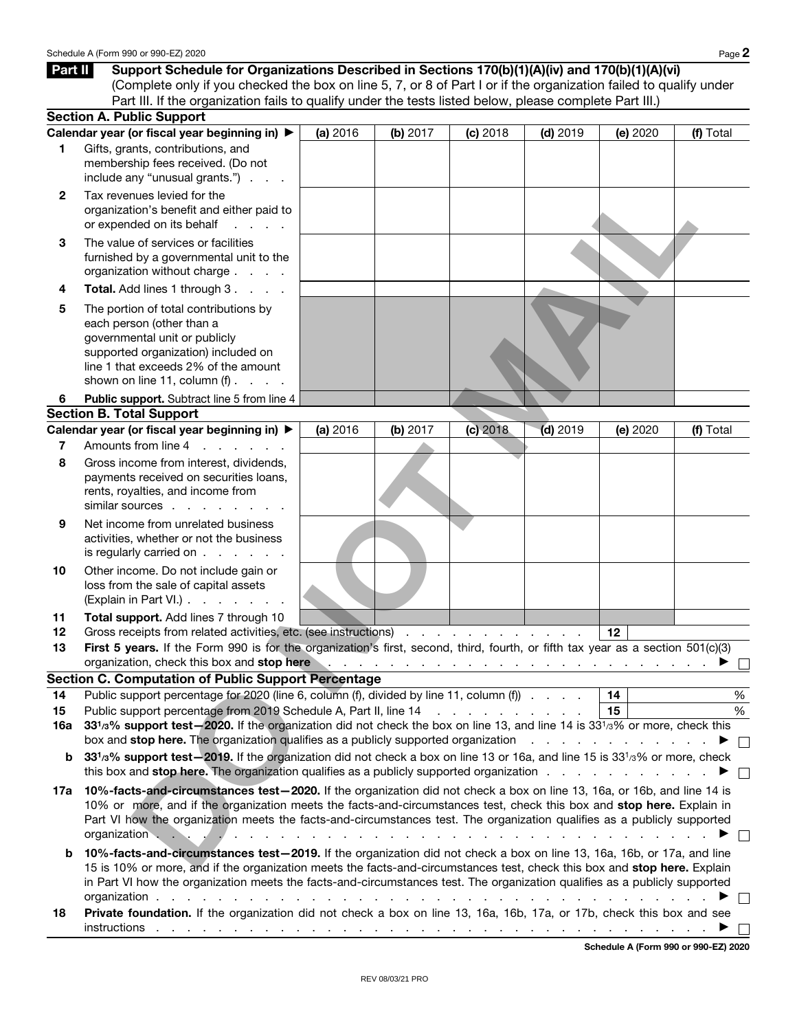**Part II** Support Schedule for Organizations Described in Sections 170(b)(1)(A)(iv) and 170(b)(1)(A)(vi) (Complete only if you checked the box on line 5, 7, or 8 of Part I or if the organization failed to qualify under Part III. If the organization fails to qualify under the tests listed below, please complete Part III.)

|              | <b>Section A. Public Support</b>                                                                                                                                                                                                                                                                                                                                                                 |          |                                                                             |                                                                                                                 |                          |                    |                                      |
|--------------|--------------------------------------------------------------------------------------------------------------------------------------------------------------------------------------------------------------------------------------------------------------------------------------------------------------------------------------------------------------------------------------------------|----------|-----------------------------------------------------------------------------|-----------------------------------------------------------------------------------------------------------------|--------------------------|--------------------|--------------------------------------|
|              | Calendar year (or fiscal year beginning in) ▶                                                                                                                                                                                                                                                                                                                                                    | (a) 2016 | (b) $2017$                                                                  | (c) 2018                                                                                                        | $(d)$ 2019               | (e) 2020           | (f) Total                            |
| 1            | Gifts, grants, contributions, and<br>membership fees received. (Do not<br>include any "unusual grants.")                                                                                                                                                                                                                                                                                         |          |                                                                             |                                                                                                                 |                          |                    |                                      |
| $\mathbf{2}$ | Tax revenues levied for the<br>organization's benefit and either paid to<br>or expended on its behalf                                                                                                                                                                                                                                                                                            |          |                                                                             |                                                                                                                 |                          |                    |                                      |
| 3            | The value of services or facilities<br>furnished by a governmental unit to the<br>organization without charge                                                                                                                                                                                                                                                                                    |          |                                                                             |                                                                                                                 |                          |                    |                                      |
| 4            | Total. Add lines 1 through 3.                                                                                                                                                                                                                                                                                                                                                                    |          |                                                                             |                                                                                                                 |                          |                    |                                      |
| 5            | The portion of total contributions by<br>each person (other than a<br>governmental unit or publicly<br>supported organization) included on<br>line 1 that exceeds 2% of the amount<br>shown on line 11, column $(f)$ .                                                                                                                                                                           |          |                                                                             |                                                                                                                 |                          |                    |                                      |
| 6            | Public support. Subtract line 5 from line 4                                                                                                                                                                                                                                                                                                                                                      |          |                                                                             |                                                                                                                 |                          |                    |                                      |
|              | <b>Section B. Total Support</b>                                                                                                                                                                                                                                                                                                                                                                  |          |                                                                             |                                                                                                                 |                          |                    |                                      |
|              | Calendar year (or fiscal year beginning in) ▶                                                                                                                                                                                                                                                                                                                                                    | (a) 2016 | (b) $2017$                                                                  | $(c)$ 2018                                                                                                      | $(d)$ 2019               | (e) 2020           | (f) Total                            |
| 7            | Amounts from line 4<br>and a state of the state of                                                                                                                                                                                                                                                                                                                                               |          |                                                                             |                                                                                                                 |                          |                    |                                      |
| 8            | Gross income from interest, dividends,<br>payments received on securities loans,<br>rents, royalties, and income from<br>similar sources                                                                                                                                                                                                                                                         |          |                                                                             |                                                                                                                 |                          |                    |                                      |
| 9            | Net income from unrelated business<br>activities, whether or not the business<br>is regularly carried on                                                                                                                                                                                                                                                                                         |          |                                                                             |                                                                                                                 |                          |                    |                                      |
| 10           | Other income. Do not include gain or<br>loss from the sale of capital assets<br>(Explain in Part VI.)                                                                                                                                                                                                                                                                                            |          |                                                                             |                                                                                                                 |                          |                    |                                      |
| 11           | Total support. Add lines 7 through 10                                                                                                                                                                                                                                                                                                                                                            |          |                                                                             |                                                                                                                 |                          |                    |                                      |
| 12           | Gross receipts from related activities, etc. (see instructions)                                                                                                                                                                                                                                                                                                                                  |          |                                                                             | the contract of the contract of the contract of the contract of the contract of the contract of the contract of |                          | 12                 |                                      |
| 13           | First 5 years. If the Form 990 is for the organization's first, second, third, fourth, or fifth tax year as a section 501(c)(3)                                                                                                                                                                                                                                                                  |          |                                                                             |                                                                                                                 |                          |                    |                                      |
|              | organization, check this box and stop here                                                                                                                                                                                                                                                                                                                                                       |          | المتحاوية والمتحاولة والمتحاولة والمتحاولة والمتحاولة والمتحاولة والمتحاولة |                                                                                                                 |                          |                    | ▸                                    |
|              | <b>Section C. Computation of Public Support Percentage</b>                                                                                                                                                                                                                                                                                                                                       |          |                                                                             |                                                                                                                 |                          |                    |                                      |
| 14           | Public support percentage for 2020 (line 6, column (f), divided by line 11, column (f))                                                                                                                                                                                                                                                                                                          |          |                                                                             |                                                                                                                 |                          | 14                 | $\%$<br>$\%$                         |
| 15<br>16a    | Public support percentage from 2019 Schedule A, Part II, line 14<br>331/3% support test-2020. If the organization did not check the box on line 13, and line 14 is 331/3% or more, check this                                                                                                                                                                                                    |          |                                                                             | the contract of the contract of the                                                                             |                          | 15                 |                                      |
|              | box and stop here. The organization qualifies as a publicly supported organization                                                                                                                                                                                                                                                                                                               |          |                                                                             |                                                                                                                 |                          | and the company of |                                      |
| b            | 331/3% support test-2019. If the organization did not check a box on line 13 or 16a, and line 15 is 331/3% or more, check                                                                                                                                                                                                                                                                        |          |                                                                             |                                                                                                                 |                          |                    |                                      |
|              | this box and <b>stop here.</b> The organization qualifies as a publicly supported organization                                                                                                                                                                                                                                                                                                   |          |                                                                             |                                                                                                                 | <b>Contract Contract</b> |                    |                                      |
| 17а          | 10%-facts-and-circumstances test-2020. If the organization did not check a box on line 13, 16a, or 16b, and line 14 is<br>10% or more, and if the organization meets the facts-and-circumstances test, check this box and stop here. Explain in<br>Part VI how the organization meets the facts-and-circumstances test. The organization qualifies as a publicly supported<br>organization       |          |                                                                             |                                                                                                                 |                          |                    |                                      |
| b            | 10%-facts-and-circumstances test-2019. If the organization did not check a box on line 13, 16a, 16b, or 17a, and line<br>15 is 10% or more, and if the organization meets the facts-and-circumstances test, check this box and stop here. Explain<br>in Part VI how the organization meets the facts-and-circumstances test. The organization qualifies as a publicly supported<br>organization. |          |                                                                             |                                                                                                                 |                          |                    |                                      |
| 18           | Private foundation. If the organization did not check a box on line 13, 16a, 16b, 17a, or 17b, check this box and see                                                                                                                                                                                                                                                                            |          |                                                                             |                                                                                                                 |                          |                    |                                      |
|              | instructions.<br>the contract of the contract of the                                                                                                                                                                                                                                                                                                                                             |          | the contract of the contract of the contract of the contract of             |                                                                                                                 |                          |                    |                                      |
|              |                                                                                                                                                                                                                                                                                                                                                                                                  |          |                                                                             |                                                                                                                 |                          |                    | Schedule A (Form 990 or 990-EZ) 2020 |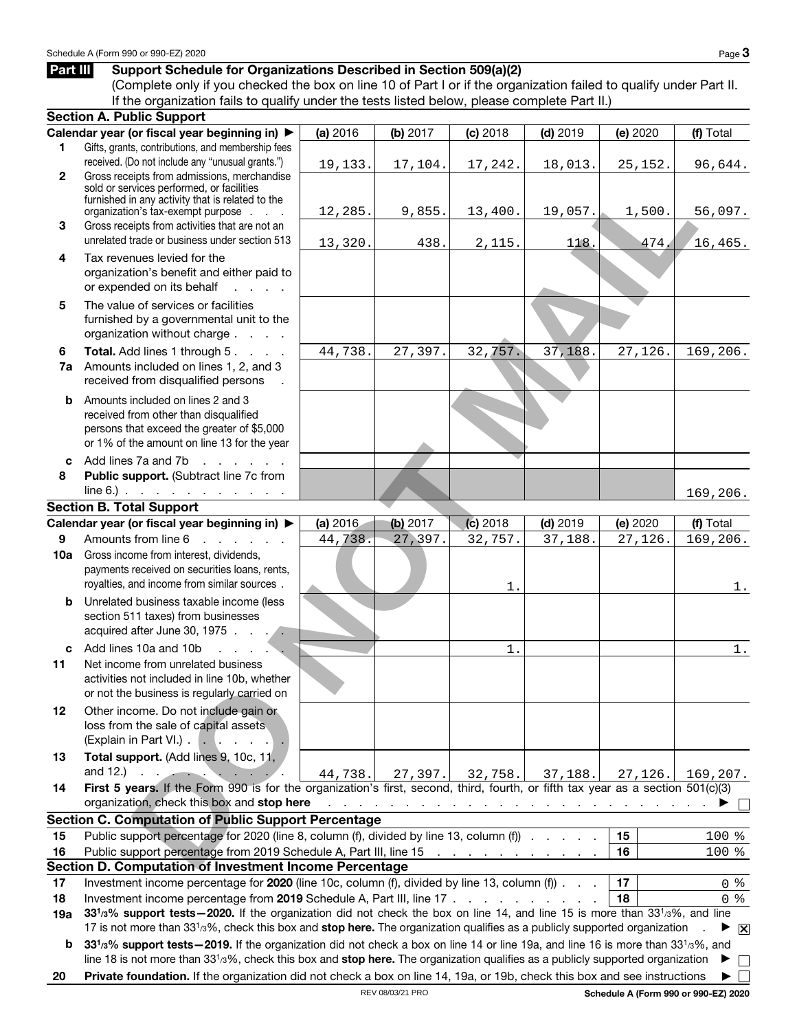# **Part III** Support Schedule for Organizations Described in Section 509(a)(2)

(Complete only if you checked the box on line 10 of Part I or if the organization failed to qualify under Part II. If the organization fails to qualify under the tests listed below, please complete Part II.)

|              | <b>Section A. Public Support</b>                                                                                                                                                                                                                                                 |          |            |                                                                                  |            |          |                              |
|--------------|----------------------------------------------------------------------------------------------------------------------------------------------------------------------------------------------------------------------------------------------------------------------------------|----------|------------|----------------------------------------------------------------------------------|------------|----------|------------------------------|
|              | Calendar year (or fiscal year beginning in) ▶                                                                                                                                                                                                                                    | (a) 2016 | (b) $2017$ | (c) 2018                                                                         | $(d)$ 2019 | (e) 2020 | (f) Total                    |
| 1            | Gifts, grants, contributions, and membership fees                                                                                                                                                                                                                                |          |            |                                                                                  |            |          |                              |
| $\mathbf{2}$ | received. (Do not include any "unusual grants.")<br>Gross receipts from admissions, merchandise                                                                                                                                                                                  | 19,133.  | 17,104.    | 17,242.                                                                          | 18,013.    | 25,152.  | 96,644.                      |
|              | sold or services performed, or facilities                                                                                                                                                                                                                                        |          |            |                                                                                  |            |          |                              |
|              | furnished in any activity that is related to the                                                                                                                                                                                                                                 |          |            |                                                                                  |            |          |                              |
| 3            | organization's tax-exempt purpose.<br>$\sim 10^{-1}$ km $^{-1}$<br>Gross receipts from activities that are not an                                                                                                                                                                | 12,285.  | 9,855.     | 13,400.                                                                          | 19,057.    | 1,500.   | 56,097.                      |
|              | unrelated trade or business under section 513                                                                                                                                                                                                                                    |          |            |                                                                                  |            |          |                              |
| 4            | Tax revenues levied for the                                                                                                                                                                                                                                                      | 13,320.  | 438.       | 2,115.                                                                           | 118.       | 474.     | 16,465.                      |
|              | organization's benefit and either paid to                                                                                                                                                                                                                                        |          |            |                                                                                  |            |          |                              |
|              | or expended on its behalf<br>and a state                                                                                                                                                                                                                                         |          |            |                                                                                  |            |          |                              |
| 5            | The value of services or facilities                                                                                                                                                                                                                                              |          |            |                                                                                  |            |          |                              |
|              | furnished by a governmental unit to the                                                                                                                                                                                                                                          |          |            |                                                                                  |            |          |                              |
|              | organization without charge                                                                                                                                                                                                                                                      |          |            |                                                                                  |            |          |                              |
| 6            | Total. Add lines 1 through 5.                                                                                                                                                                                                                                                    | 44,738.  | 27,397.    | 32,757.                                                                          | 37,188.    | 27,126.  | 169,206.                     |
| 7a           | Amounts included on lines 1, 2, and 3                                                                                                                                                                                                                                            |          |            |                                                                                  |            |          |                              |
|              | received from disqualified persons                                                                                                                                                                                                                                               |          |            |                                                                                  |            |          |                              |
| b            | Amounts included on lines 2 and 3                                                                                                                                                                                                                                                |          |            |                                                                                  |            |          |                              |
|              | received from other than disqualified                                                                                                                                                                                                                                            |          |            |                                                                                  |            |          |                              |
|              | persons that exceed the greater of \$5,000                                                                                                                                                                                                                                       |          |            |                                                                                  |            |          |                              |
|              | or 1% of the amount on line 13 for the year                                                                                                                                                                                                                                      |          |            |                                                                                  |            |          |                              |
| c            | Add lines 7a and 7b<br>and the contract of                                                                                                                                                                                                                                       |          |            |                                                                                  |            |          |                              |
| 8            | Public support. (Subtract line 7c from                                                                                                                                                                                                                                           |          |            |                                                                                  |            |          |                              |
|              | $line 6.)$                                                                                                                                                                                                                                                                       |          |            |                                                                                  |            |          | 169,206.                     |
|              | <b>Section B. Total Support</b>                                                                                                                                                                                                                                                  |          |            |                                                                                  |            |          |                              |
|              | Calendar year (or fiscal year beginning in) ▶                                                                                                                                                                                                                                    | (a) 2016 | (b) 2017   | $(c)$ 2018                                                                       | $(d)$ 2019 | (e) 2020 | (f) Total                    |
| 9            | Amounts from line 6<br>and the contract of                                                                                                                                                                                                                                       | 44,738.  | 27,397.    | 32,757.                                                                          | 37,188.    | 27,126.  | 169,206.                     |
| 10a          | Gross income from interest, dividends,                                                                                                                                                                                                                                           |          |            |                                                                                  |            |          |                              |
|              | payments received on securities loans, rents,<br>royalties, and income from similar sources.                                                                                                                                                                                     |          |            |                                                                                  |            |          |                              |
|              |                                                                                                                                                                                                                                                                                  |          |            | $1$ .                                                                            |            |          | $1$ .                        |
| b            | Unrelated business taxable income (less<br>section 511 taxes) from businesses                                                                                                                                                                                                    |          |            |                                                                                  |            |          |                              |
|              | acquired after June 30, 1975<br>$\sim$                                                                                                                                                                                                                                           |          |            |                                                                                  |            |          |                              |
|              | Add lines 10a and 10b                                                                                                                                                                                                                                                            |          |            |                                                                                  |            |          |                              |
| C<br>11      | Net income from unrelated business                                                                                                                                                                                                                                               |          |            | 1.                                                                               |            |          | $1$ .                        |
|              | activities not included in line 10b, whether                                                                                                                                                                                                                                     |          |            |                                                                                  |            |          |                              |
|              | or not the business is regularly carried on                                                                                                                                                                                                                                      |          |            |                                                                                  |            |          |                              |
| 12           | Other income. Do not include gain or                                                                                                                                                                                                                                             |          |            |                                                                                  |            |          |                              |
|              | loss from the sale of capital assets.                                                                                                                                                                                                                                            |          |            |                                                                                  |            |          |                              |
|              | (Explain in Part VI.)                                                                                                                                                                                                                                                            |          |            |                                                                                  |            |          |                              |
| 13           | Total support. (Add lines 9, 10c, 11,                                                                                                                                                                                                                                            |          |            |                                                                                  |            |          |                              |
|              | <b>State Street</b><br>and $12.$ $\ldots$                                                                                                                                                                                                                                        | 44,738.  | 27, 397.   | 32,758.                                                                          | 37,188.    | 27,126.  | 169,207.                     |
| 14           | First 5 years. If the Form 990 is for the organization's first, second, third, fourth, or fifth tax year as a section 501(c)(3)                                                                                                                                                  |          |            |                                                                                  |            |          |                              |
|              | organization, check this box and stop here                                                                                                                                                                                                                                       |          |            | والمناور والمناور والمناور والمناور والمناور والمناور والمناور والمناور والمناور |            |          |                              |
|              | <b>Section C. Computation of Public Support Percentage</b>                                                                                                                                                                                                                       |          |            |                                                                                  |            |          |                              |
| 15           | Public support percentage for 2020 (line 8, column (f), divided by line 13, column (f)                                                                                                                                                                                           |          |            |                                                                                  |            | 15       | 100 %                        |
| 16           | Public support percentage from 2019 Schedule A, Part III, line 15                                                                                                                                                                                                                |          |            | and the company of the company of                                                |            | 16       | 100 %                        |
|              | Section D. Computation of Investment Income Percentage                                                                                                                                                                                                                           |          |            |                                                                                  |            |          |                              |
| 17           | Investment income percentage for 2020 (line 10c, column (f), divided by line 13, column (f))                                                                                                                                                                                     |          |            |                                                                                  |            | 17       | $0\%$                        |
| 18           | Investment income percentage from 2019 Schedule A, Part III, line 17                                                                                                                                                                                                             |          |            |                                                                                  |            | 18       | $0\%$                        |
| 19a          | 331/3% support tests - 2020. If the organization did not check the box on line 14, and line 15 is more than 331/3%, and line                                                                                                                                                     |          |            |                                                                                  |            |          |                              |
|              | 17 is not more than 33 <sup>1</sup> /3%, check this box and stop here. The organization qualifies as a publicly supported organization                                                                                                                                           |          |            |                                                                                  |            |          | $\mathbf{\overline{X}}$<br>▶ |
| b            | 331/3% support tests - 2019. If the organization did not check a box on line 14 or line 19a, and line 16 is more than 331/3%, and<br>line 18 is not more than 33 <sup>1</sup> /3%, check this box and stop here. The organization qualifies as a publicly supported organization |          |            |                                                                                  |            |          |                              |
|              |                                                                                                                                                                                                                                                                                  |          |            |                                                                                  |            |          | ▶<br>$\Box$                  |
| 20           | Private foundation. If the organization did not check a box on line 14, 19a, or 19b, check this box and see instructions                                                                                                                                                         |          |            |                                                                                  |            |          | ▶                            |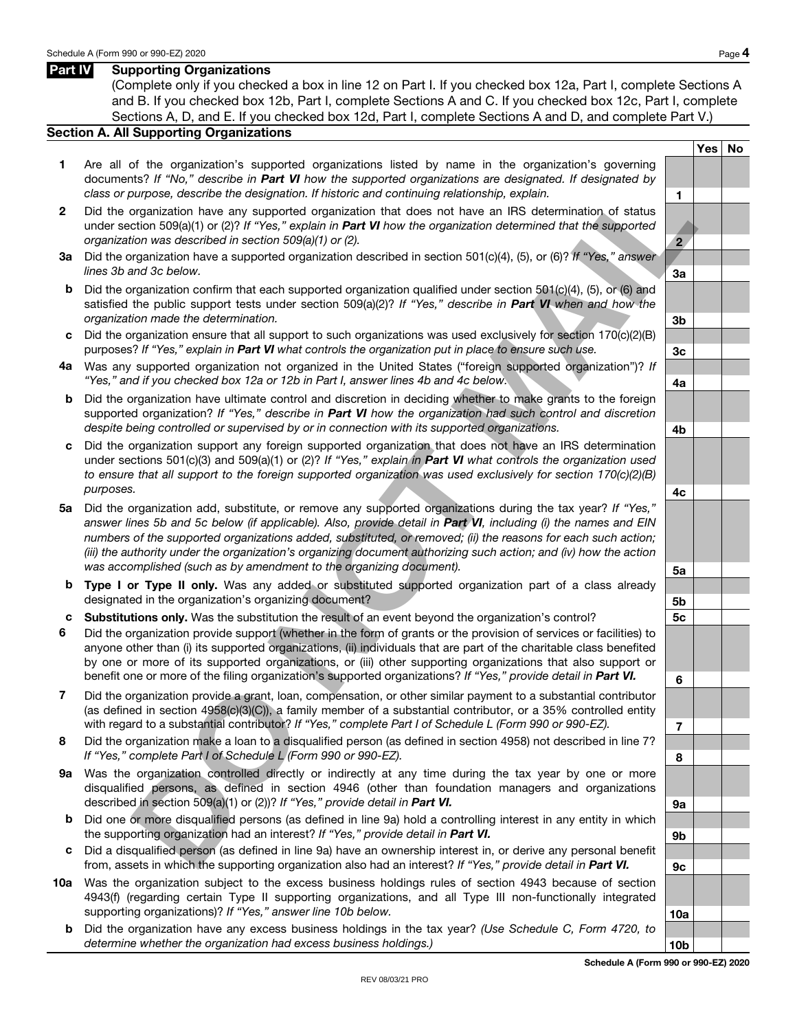## **Part IV Supporting Organizations**

(Complete only if you checked a box in line 12 on Part I. If you checked box 12a, Part I, complete Sections A and B. If you checked box 12b, Part I, complete Sections A and C. If you checked box 12c, Part I, complete Sections A, D, and E. If you checked box 12d, Part I, complete Sections A and D, and complete Part V.)

#### **Section A. All Supporting Organizations**

- **1** Are all of the organization's supported organizations listed by name in the organization's governing documents? If "No," describe in *Part VI* how the supported organizations are designated. If designated by class or purpose, describe the designation. If historic and continuing relationship, explain. **1**
- **2** Did the organization have any supported organization that does not have an IRS determination of status under section 509(a)(1) or (2)? If "Yes," explain in *Part VI* how the organization determined that the supported organization was described in section 509(a)(1) or (2). **2**
- **3a** Did the organization have a supported organization described in section 501(c)(4), (5), or (6)? If "Yes," answer lines 3b and 3c below. **3a**
- **b** Did the organization confirm that each supported organization qualified under section 501(c)(4), (5), or (6) and satisfied the public support tests under section 509(a)(2)? If "Yes," describe in **Part VI** when and how the organization made the determination. **3b**
- **c** Did the organization ensure that all support to such organizations was used exclusively for section 170(c)(2)(B) purposes? If "Yes," explain in *Part VI* what controls the organization put in place to ensure such use. **3c**
- **4a** Was any supported organization not organized in the United States ("foreign supported organization")? If "Yes," and if you checked box 12a or 12b in Part I, answer lines 4b and 4c below. **4a**
- **b** Did the organization have ultimate control and discretion in deciding whether to make grants to the foreign supported organization? If "Yes," describe in *Part VI* how the organization had such control and discretion despite being controlled or supervised by or in connection with its supported organizations. **4b**
- **c** Did the organization support any foreign supported organization that does not have an IRS determination under sections 501(c)(3) and 509(a)(1) or (2)? If "Yes," explain in *Part VI* what controls the organization used to ensure that all support to the foreign supported organization was used exclusively for section 170(c)(2)(B) purposes. **4c**
- **5a** Did the organization add, substitute, or remove any supported organizations during the tax year? If "Yes," answer lines 5b and 5c below (if applicable). Also, provide detail in *Part VI*, including (i) the names and EIN numbers of the supported organizations added, substituted, or removed; (ii) the reasons for each such action; (iii) the authority under the organization's organizing document authorizing such action; and (iv) how the action was accomplished (such as by amendment to the organizing document). **5a** hts? Photo describe in Part M how the aupported organizations are designated in Part Microsoft in Part Microsoft control in the substitute of the substitute of the substitute of the substitute of the substitute of the subs
- **b Type I or Type II only.** Was any added or substituted supported organization part of a class already designated in the organization's organizing document? **5b**
- **c Substitutions only.** Was the substitution the result of an event beyond the organization's control? **5c**
- **6** Did the organization provide support (whether in the form of grants or the provision of services or facilities) to anyone other than (i) its supported organizations, (ii) individuals that are part of the charitable class benefited by one or more of its supported organizations, or (iii) other supporting organizations that also support or benefit one or more of the filing organization's supported organizations? If "Yes," provide detail in *Part VI.* **6**
- **7** Did the organization provide a grant, loan, compensation, or other similar payment to a substantial contributor (as defined in section 4958(c)(3)(C)), a family member of a substantial contributor, or a 35% controlled entity with regard to a substantial contributor? If "Yes," complete Part I of Schedule L (Form 990 or 990-EZ).
- **8** Did the organization make a loan to a disqualified person (as defined in section 4958) not described in line 7? If "Yes," complete Part I of Schedule L (Form 990 or 990-EZ). **8**
- **9a** Was the organization controlled directly or indirectly at any time during the tax year by one or more disqualified persons, as defined in section 4946 (other than foundation managers and organizations described in section 509(a)(1) or (2))? If "Yes," provide detail in *Part VI.* **9a**
- **b** Did one or more disqualified persons (as defined in line 9a) hold a controlling interest in any entity in which the supporting organization had an interest? If "Yes," provide detail in **Part VI. 9b 9b 9b**
- **c** Did a disqualified person (as defined in line 9a) have an ownership interest in, or derive any personal benefit from, assets in which the supporting organization also had an interest? If "Yes," provide detail in *Part VI.* **9c**
- **10a** Was the organization subject to the excess business holdings rules of section 4943 because of section 4943(f) (regarding certain Type II supporting organizations, and all Type III non-functionally integrated supporting organizations)? If "Yes," answer line 10b below. **10a** and the state of the state of the 10a
	- **b** Did the organization have any excess business holdings in the tax year? (Use Schedule C, Form 4720, to determine whether the organization had excess business holdings.) **10b**

**Yes No**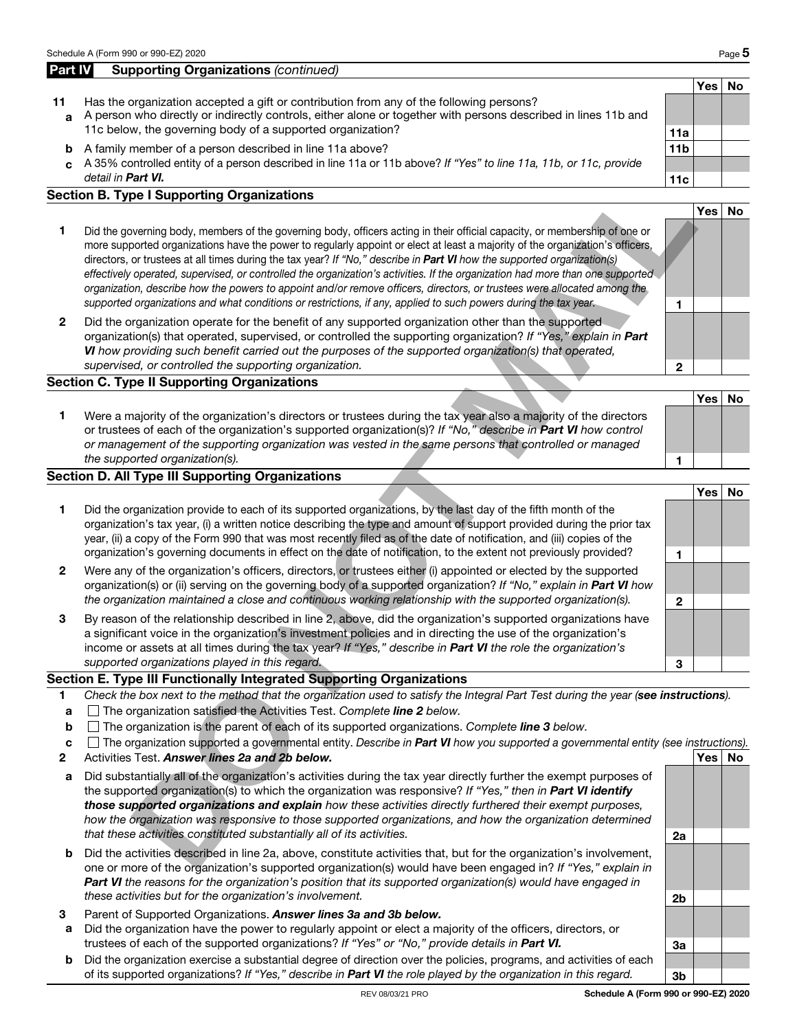#### **Part IV** Supporting Organizations (continued)

- **11** Has the organization accepted a gift or contribution from any of the following persons? **a** A person who directly or indirectly controls, either alone or together with persons described in lines 11b and
	- 11c below, the governing body of a supported organization? **11a**
	- **b** A family member of a person described in line 11a above? **11b 11b**
	- **c** A 35% controlled entity of a person described in line 11a or 11b above? If "Yes" to line 11a, 11b, or 11c, provide detail in *Part VI.* **11c**

#### **Section B. Type I Supporting Organizations**

- **1** Did the governing body, members of the governing body, officers acting in their official capacity, or membership of one or more supported organizations have the power to regularly appoint or elect at least a majority of the organization's officers, directors, or trustees at all times during the tax year? If "No," describe in *Part VI* how the supported organization(s) effectively operated, supervised, or controlled the organization's activities. If the organization had more than one supported organization, describe how the powers to appoint and/or remove officers, directors, or trustees were allocated among the supported organizations and what conditions or restrictions, if any, applied to such powers during the tax year.
- **2** Did the organization operate for the benefit of any supported organization other than the supported organization(s) that operated, supervised, or controlled the supporting organization? If "Yes," explain in *Part VI* how providing such benefit carried out the purposes of the supported organization(s) that operated, supervised, or controlled the supporting organization. **2 2 2**

# **Section C. Type II Supporting Organizations**

**1** Were a majority of the organization's directors or trustees during the tax year also a majority of the directors or trustees of each of the organization's supported organization(s)? If "No," describe in *Part VI* how control or management of the supporting organization was vested in the same persons that controlled or managed the supported organization(s). **1** 

## **Section D. All Type III Supporting Organizations**

**Yes No 1** Did the organization provide to each of its supported organizations, by the last day of the fifth month of the organization's tax year, (i) a written notice describing the type and amount of support provided during the prior tax year, (ii) a copy of the Form 990 that was most recently filed as of the date of notification, and (iii) copies of the organization's governing documents in effect on the date of notification, to the extent not previously provided? **1 2** Were any of the organization's officers, directors, or trustees either (i) appointed or elected by the supported organization(s) or (ii) serving on the governing body of a supported organization? If "No," explain in *Part VI* how the organization maintained a close and continuous working relationship with the supported organization(s). **2 3** By reason of the relationship described in line 2, above, did the organization's supported organizations have a significant voice in the organization's investment policies and in directing the use of the organization's income or assets at all times during the tax year? If "Yes," describe in *Part VI* the role the organization's **Part 17.**<br> **Data Dispartizations**<br> **Data Disparks of the governing body, officers acting in their official capacity, or membershmothology membershmothology membershmothology approach of the proparation is a constrained an** 

# **Section E. Type III Functionally Integrated Supporting Organizations**

- **1** Check the box next to the method that the organization used to satisfy the Integral Part Test during the year (*see instructions*).
- **a** The organization satisfied the Activities Test. Complete **line 2** below.
- **b** The organization is the parent of each of its supported organizations. Complete **line 3** below.
- **c** The organization supported a governmental entity. Describe in *Part VI* how you supported a governmental entity (see instructions).
- **2** Activities Test. *Answer lines 2a and 2b below.* **Yes No**
- **a** Did substantially all of the organization's activities during the tax year directly further the exempt purposes of the supported organization(s) to which the organization was responsive? If "Yes," then in *Part VI identify those supported organizations and explain* how these activities directly furthered their exempt purposes, how the organization was responsive to those supported organizations, and how the organization determined that these activities constituted substantially all of its activities. **2a**
- **b** Did the activities described in line 2a, above, constitute activities that, but for the organization's involvement, one or more of the organization's supported organization(s) would have been engaged in? If "Yes," explain in **Part VI** the reasons for the organization's position that its supported organization(s) would have engaged in these activities but for the organization's involvement. **2b**
- **3** Parent of Supported Organizations. *Answer lines 3a and 3b below.*
- **a** Did the organization have the power to regularly appoint or elect a majority of the officers, directors, or trustees of each of the supported organizations? If "Yes" or "No," provide details in *Part VI.* **3a**
- **b** Did the organization exercise a substantial degree of direction over the policies, programs, and activities of each of its supported organizations? If "Yes," describe in *Part VI* the role played by the organization in this regard. **3b**

#### REV 08/03/21 PRO **Schedule A (Form 990 or 990-EZ) 2020**

supported organizations played in this regard. **3**

**Yes No**



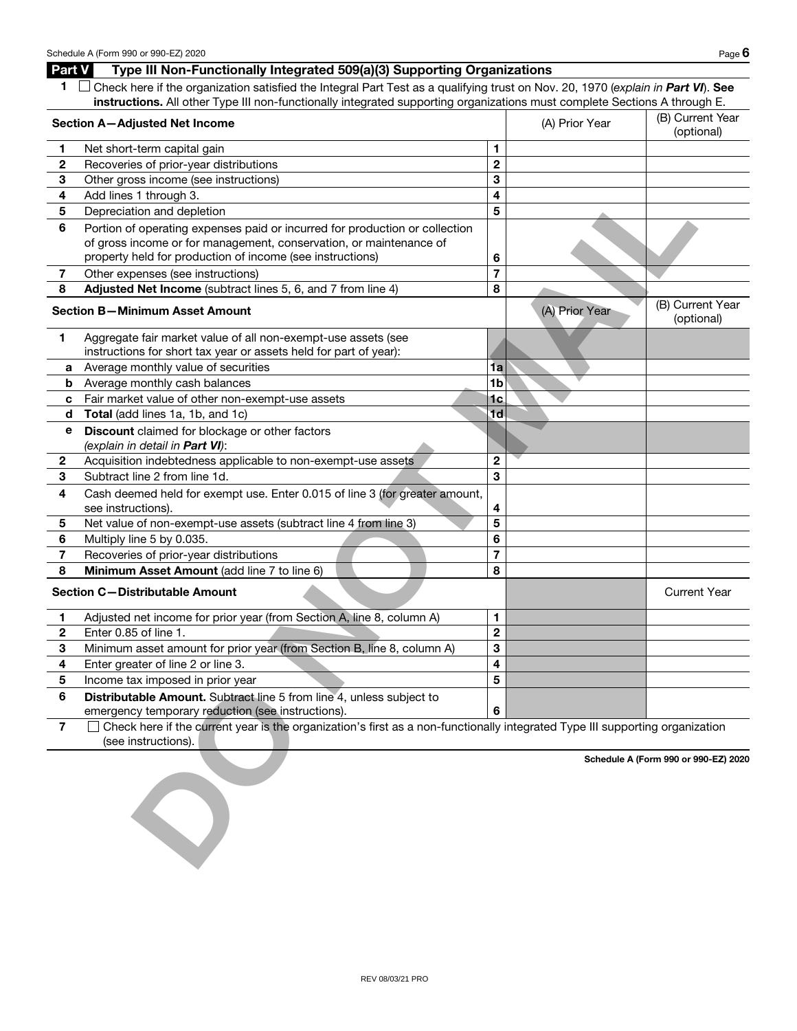| 1 Check here if the organization satisfied the Integral Part Test as a qualifying trust on Nov. 20, 1970 (explain in Part VI). See |
|------------------------------------------------------------------------------------------------------------------------------------|
| instructions. All other Type III non-functionally integrated supporting organizations must complete Sections A through E.          |

|                         | Section A-Adjusted Net Income                                                                                                                       |                         | (A) Prior Year | (B) Current Year<br>(optional)       |
|-------------------------|-----------------------------------------------------------------------------------------------------------------------------------------------------|-------------------------|----------------|--------------------------------------|
| 1                       | Net short-term capital gain                                                                                                                         | 1                       |                |                                      |
| 2                       | Recoveries of prior-year distributions                                                                                                              | $\overline{\mathbf{c}}$ |                |                                      |
| 3                       | Other gross income (see instructions)                                                                                                               | 3                       |                |                                      |
| 4                       | Add lines 1 through 3.                                                                                                                              | 4                       |                |                                      |
| 5                       | Depreciation and depletion                                                                                                                          | 5                       |                |                                      |
| 6                       | Portion of operating expenses paid or incurred for production or collection                                                                         |                         |                |                                      |
|                         | of gross income or for management, conservation, or maintenance of                                                                                  |                         |                |                                      |
|                         | property held for production of income (see instructions)                                                                                           | 6                       |                |                                      |
| 7                       | Other expenses (see instructions)                                                                                                                   | $\overline{7}$          |                |                                      |
| 8                       | Adjusted Net Income (subtract lines 5, 6, and 7 from line 4)                                                                                        | 8                       |                |                                      |
|                         | <b>Section B-Minimum Asset Amount</b>                                                                                                               |                         | (A) Prior Year | (B) Current Year<br>(optional)       |
| 1                       | Aggregate fair market value of all non-exempt-use assets (see                                                                                       |                         |                |                                      |
|                         | instructions for short tax year or assets held for part of year):                                                                                   |                         |                |                                      |
| a                       | Average monthly value of securities                                                                                                                 | 1a                      |                |                                      |
| b                       | Average monthly cash balances                                                                                                                       | 1 <sub>b</sub>          |                |                                      |
| c                       | Fair market value of other non-exempt-use assets                                                                                                    | 1 <sub>c</sub>          |                |                                      |
| d                       | Total (add lines 1a, 1b, and 1c)                                                                                                                    | 1d                      |                |                                      |
| е                       | Discount claimed for blockage or other factors                                                                                                      |                         |                |                                      |
|                         | (explain in detail in Part VI):                                                                                                                     |                         |                |                                      |
| 2                       | Acquisition indebtedness applicable to non-exempt-use assets                                                                                        | $\mathbf 2$             |                |                                      |
| 3                       | Subtract line 2 from line 1d.                                                                                                                       | 3                       |                |                                      |
| 4                       | Cash deemed held for exempt use. Enter 0.015 of line 3 (for greater amount,                                                                         |                         |                |                                      |
|                         | see instructions).                                                                                                                                  | 4                       |                |                                      |
| 5                       | Net value of non-exempt-use assets (subtract line 4 from line 3)                                                                                    | 5                       |                |                                      |
| 6                       | Multiply line 5 by 0.035.                                                                                                                           | 6                       |                |                                      |
| 7                       | Recoveries of prior-year distributions                                                                                                              | $\overline{7}$          |                |                                      |
| 8                       | Minimum Asset Amount (add line 7 to line 6)                                                                                                         | 8                       |                |                                      |
|                         | <b>Section C-Distributable Amount</b>                                                                                                               |                         |                | <b>Current Year</b>                  |
| 1                       | Adjusted net income for prior year (from Section A, line 8, column A)                                                                               | 1                       |                |                                      |
| $\mathbf 2$             | Enter 0.85 of line 1.                                                                                                                               | $\mathbf 2$             |                |                                      |
| 3                       | Minimum asset amount for prior year (from Section B, line 8, column A)                                                                              | 3                       |                |                                      |
| 4                       | Enter greater of line 2 or line 3.                                                                                                                  | 4                       |                |                                      |
| 5                       | Income tax imposed in prior year                                                                                                                    | 5                       |                |                                      |
| 6                       | Distributable Amount. Subtract line 5 from line 4, unless subject to                                                                                |                         |                |                                      |
|                         | emergency temporary reduction (see instructions).                                                                                                   | 6                       |                |                                      |
| $\overline{\mathbf{r}}$ | Check here if the current year is the organization's first as a non-functionally integrated Type III supporting organization<br>(see instructions). |                         |                |                                      |
|                         |                                                                                                                                                     |                         |                | Schedule A (Form 990 or 990-EZ) 2020 |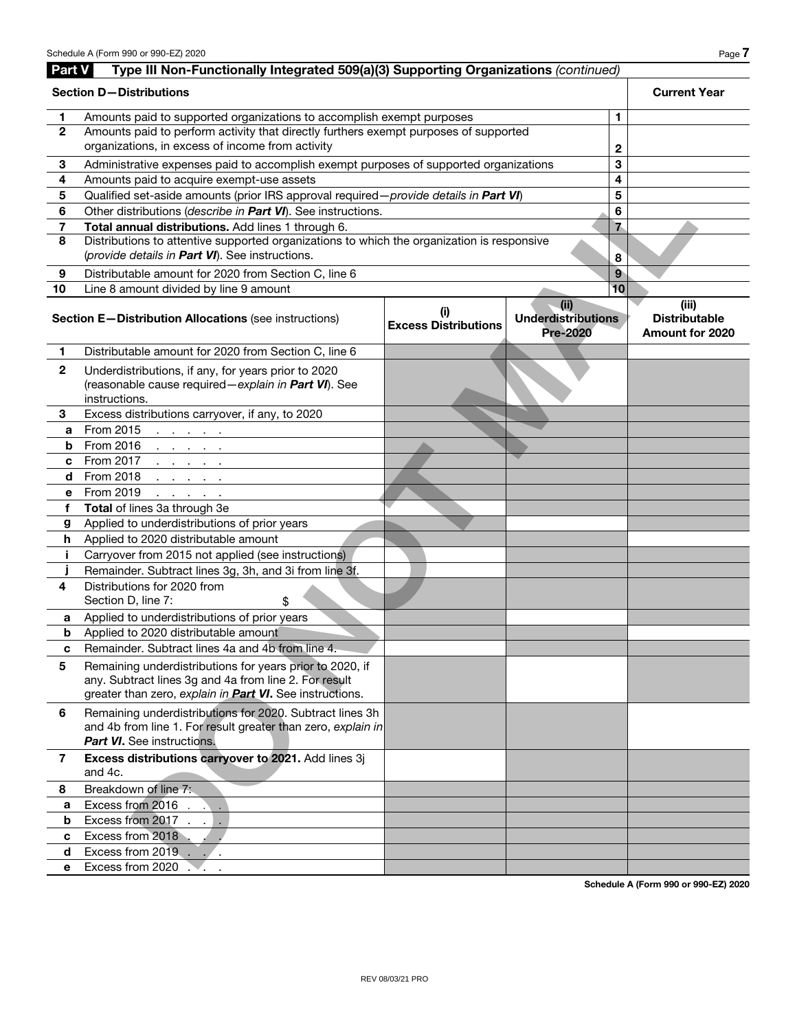| <b>Part V</b>  | Type III Non-Functionally Integrated 509(a)(3) Supporting Organizations (continued)                                                                                           |                                    |                                                     |                                                         |
|----------------|-------------------------------------------------------------------------------------------------------------------------------------------------------------------------------|------------------------------------|-----------------------------------------------------|---------------------------------------------------------|
|                | <b>Section D-Distributions</b>                                                                                                                                                |                                    |                                                     | <b>Current Year</b>                                     |
| 1.             | Amounts paid to supported organizations to accomplish exempt purposes                                                                                                         |                                    | 1.                                                  |                                                         |
| $\overline{2}$ | Amounts paid to perform activity that directly furthers exempt purposes of supported<br>organizations, in excess of income from activity                                      |                                    | 2                                                   |                                                         |
| 3              | Administrative expenses paid to accomplish exempt purposes of supported organizations                                                                                         |                                    | 3                                                   |                                                         |
| 4              | Amounts paid to acquire exempt-use assets                                                                                                                                     |                                    | 4                                                   |                                                         |
| 5              | Qualified set-aside amounts (prior IRS approval required - provide details in Part VI)                                                                                        |                                    | 5                                                   |                                                         |
| 6              | Other distributions (describe in Part VI). See instructions.                                                                                                                  |                                    | 6                                                   |                                                         |
| 7              | Total annual distributions. Add lines 1 through 6.                                                                                                                            |                                    | 7                                                   |                                                         |
| 8              | Distributions to attentive supported organizations to which the organization is responsive<br>(provide details in Part VI). See instructions.                                 |                                    | 8                                                   |                                                         |
| 9              | Distributable amount for 2020 from Section C, line 6                                                                                                                          |                                    | 9                                                   |                                                         |
| 10             | Line 8 amount divided by line 9 amount                                                                                                                                        |                                    | 10                                                  |                                                         |
|                | Section E-Distribution Allocations (see instructions)                                                                                                                         | (i)<br><b>Excess Distributions</b> | (i)<br><b>Underdistributions</b><br><b>Pre-2020</b> | (iii)<br><b>Distributable</b><br><b>Amount for 2020</b> |
| 1              | Distributable amount for 2020 from Section C, line 6                                                                                                                          |                                    |                                                     |                                                         |
| $\mathbf{2}$   | Underdistributions, if any, for years prior to 2020<br>(reasonable cause required - explain in Part VI). See<br>instructions.                                                 |                                    |                                                     |                                                         |
| 3              | Excess distributions carryover, if any, to 2020                                                                                                                               |                                    |                                                     |                                                         |
| a              | From 2015<br>and a state of the                                                                                                                                               |                                    |                                                     |                                                         |
| b              | From 2016<br>the contract of the con-                                                                                                                                         |                                    |                                                     |                                                         |
| c              | From 2017<br>and a state of the                                                                                                                                               |                                    |                                                     |                                                         |
| d              | From 2018<br>and a state of the                                                                                                                                               |                                    |                                                     |                                                         |
| е              | From 2019<br>and a state of the                                                                                                                                               |                                    |                                                     |                                                         |
| f              | Total of lines 3a through 3e                                                                                                                                                  |                                    |                                                     |                                                         |
| g              | Applied to underdistributions of prior years                                                                                                                                  |                                    |                                                     |                                                         |
| h              | Applied to 2020 distributable amount                                                                                                                                          |                                    |                                                     |                                                         |
| j.             | Carryover from 2015 not applied (see instructions)                                                                                                                            |                                    |                                                     |                                                         |
| J              | Remainder. Subtract lines 3g, 3h, and 3i from line 3f.                                                                                                                        |                                    |                                                     |                                                         |
| 4              | Distributions for 2020 from<br>Section D, line 7:<br>\$                                                                                                                       |                                    |                                                     |                                                         |
| a              | Applied to underdistributions of prior years                                                                                                                                  |                                    |                                                     |                                                         |
| b              | Applied to 2020 distributable amount                                                                                                                                          |                                    |                                                     |                                                         |
| c              | Remainder. Subtract lines 4a and 4b from line 4.                                                                                                                              |                                    |                                                     |                                                         |
| 5              | Remaining underdistributions for years prior to 2020, if<br>any. Subtract lines 3g and 4a from line 2. For result<br>greater than zero, explain in Part VI. See instructions. |                                    |                                                     |                                                         |
| 6              | Remaining underdistributions for 2020. Subtract lines 3h<br>and 4b from line 1. For result greater than zero, explain in<br><b>Part VI.</b> See instructions.                 |                                    |                                                     |                                                         |
| 7              | Excess distributions carryover to 2021. Add lines 3j<br>and 4c.                                                                                                               |                                    |                                                     |                                                         |
| 8              | Breakdown of line 7:                                                                                                                                                          |                                    |                                                     |                                                         |
| a              | Excess from 2016                                                                                                                                                              |                                    |                                                     |                                                         |
| b              | Excess from 2017                                                                                                                                                              |                                    |                                                     |                                                         |
| C              | Excess from 2018                                                                                                                                                              |                                    |                                                     |                                                         |
| d              | Excess from 2019                                                                                                                                                              |                                    |                                                     |                                                         |
| е              | Excess from 2020.                                                                                                                                                             |                                    |                                                     |                                                         |

**Schedule A (Form 990 or 990-EZ) 2020**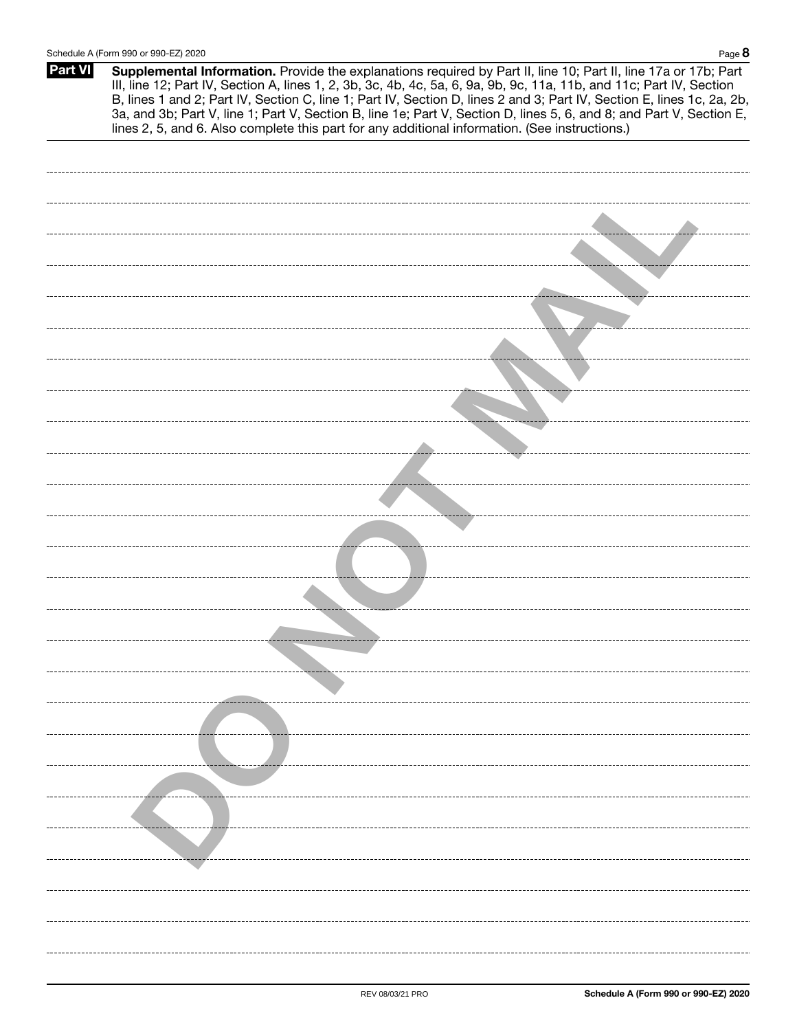| Supplemental Information. Provide the explanations required by Part II, line 10; Part II, line 17a or 17b; Part<br>III, line 12; Part IV, Section A, lines 1, 2, 3b, 3c, 4b, 4c, 5a, 6, 9a, 9b, 9c, 11a, 11b, and 11c; Part IV, Section<br>B, lines 1 and 2; Part IV, Section C, line 1; Part IV, Section D, lines 2 and 3; Part IV, Section E, lines 1c, 2a, 2b,<br>3a, and 3b; Part V, line 1; Part V, Section B, line 1e; Part V, Section D, lines 5, 6, and 8; and Part V, Section E,<br>lines 2, 5, and 6. Also complete this part for any additional information. (See instructions.) |
|---------------------------------------------------------------------------------------------------------------------------------------------------------------------------------------------------------------------------------------------------------------------------------------------------------------------------------------------------------------------------------------------------------------------------------------------------------------------------------------------------------------------------------------------------------------------------------------------|
|                                                                                                                                                                                                                                                                                                                                                                                                                                                                                                                                                                                             |
|                                                                                                                                                                                                                                                                                                                                                                                                                                                                                                                                                                                             |
|                                                                                                                                                                                                                                                                                                                                                                                                                                                                                                                                                                                             |
|                                                                                                                                                                                                                                                                                                                                                                                                                                                                                                                                                                                             |
|                                                                                                                                                                                                                                                                                                                                                                                                                                                                                                                                                                                             |
|                                                                                                                                                                                                                                                                                                                                                                                                                                                                                                                                                                                             |
|                                                                                                                                                                                                                                                                                                                                                                                                                                                                                                                                                                                             |
|                                                                                                                                                                                                                                                                                                                                                                                                                                                                                                                                                                                             |
|                                                                                                                                                                                                                                                                                                                                                                                                                                                                                                                                                                                             |
|                                                                                                                                                                                                                                                                                                                                                                                                                                                                                                                                                                                             |
|                                                                                                                                                                                                                                                                                                                                                                                                                                                                                                                                                                                             |
|                                                                                                                                                                                                                                                                                                                                                                                                                                                                                                                                                                                             |
|                                                                                                                                                                                                                                                                                                                                                                                                                                                                                                                                                                                             |
|                                                                                                                                                                                                                                                                                                                                                                                                                                                                                                                                                                                             |
|                                                                                                                                                                                                                                                                                                                                                                                                                                                                                                                                                                                             |
|                                                                                                                                                                                                                                                                                                                                                                                                                                                                                                                                                                                             |
|                                                                                                                                                                                                                                                                                                                                                                                                                                                                                                                                                                                             |
|                                                                                                                                                                                                                                                                                                                                                                                                                                                                                                                                                                                             |
|                                                                                                                                                                                                                                                                                                                                                                                                                                                                                                                                                                                             |
|                                                                                                                                                                                                                                                                                                                                                                                                                                                                                                                                                                                             |
|                                                                                                                                                                                                                                                                                                                                                                                                                                                                                                                                                                                             |
|                                                                                                                                                                                                                                                                                                                                                                                                                                                                                                                                                                                             |
|                                                                                                                                                                                                                                                                                                                                                                                                                                                                                                                                                                                             |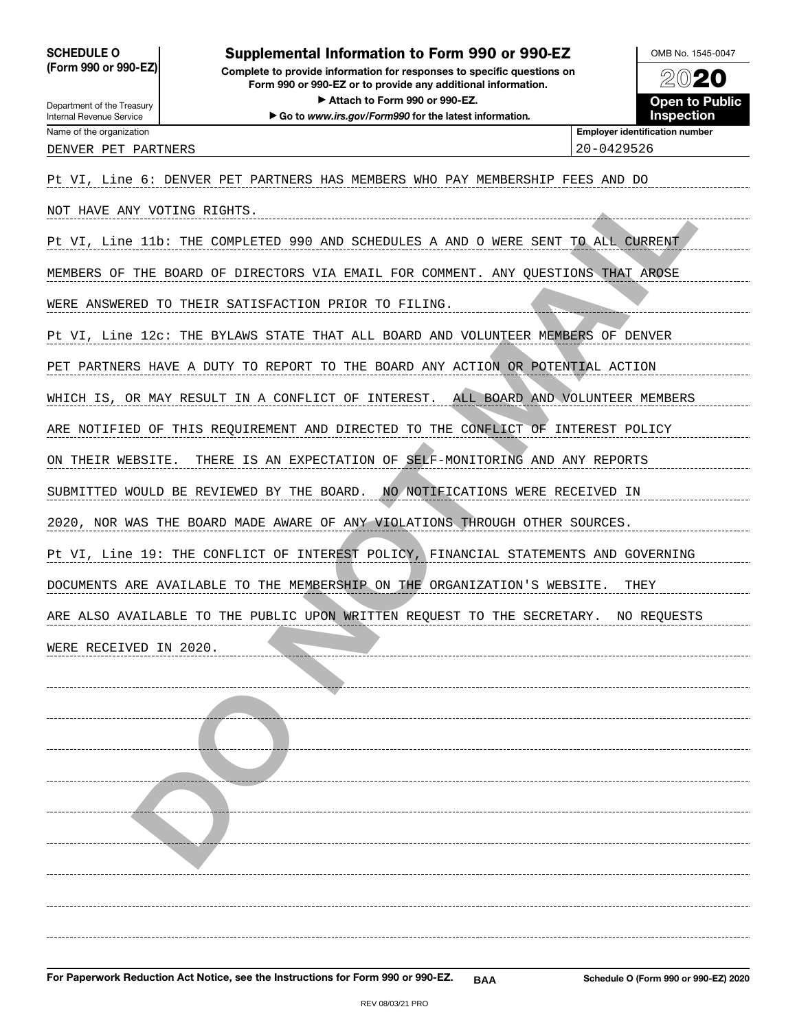**SCHEDULE O (Form 990 or 990-EZ)**

# **Supplemental Information to Form 990 or 990-EZ**

**Complete to provide information for responses to specific questions on Form 990 or 990-EZ or to provide any additional information.**

Attach to Form 990 or 990-EZ.

▶ Go to *www.irs.gov/Form990* for the latest information.



Department of the Treasury Internal Revenue Service

DENVER PET PARTNERS 20-0429526

Name of the organization **Employer identification number Employer identification number Employer identification number** 

Pt VI, Line 6: DENVER PET PARTNERS HAS MEMBERS WHO PAY MEMBERSHIP FEES AND DO NOT HAVE ANY VOTING RIGHTS Pt VI, Line 11b: THE COMPLETED 990 AND SCHEDULES A AND O WERE SENT TO ALL CURRENT MEMBERS OF THE BOARD OF DIRECTORS VIA EMAIL FOR COMMENT. ANY QUESTIONS THAT AROSE WERE ANSWERED TO THEIR SATISFACTION PRIOR TO FILING. Pt VI, Line 12c: THE BYLAWS STATE THAT ALL BOARD AND VOLUNTEER MEMBERS OF DENVER PET PARTNERS HAVE A DUTY TO REPORT TO THE BOARD ANY ACTION OR POTENTIAL ACTION WHICH IS, OR MAY RESULT IN A CONFLICT OF INTEREST. ALL BOARD AND VOLUNTEER MEMBERS ARE NOTIFIED OF THIS REQUIREMENT AND DIRECTED TO THE CONFLICT OF INTEREST POLICY ON THEIR WEBSITE. THERE IS AN EXPECTATION OF SELF-MONITORING AND ANY REPORTS SUBMITTED WOULD BE REVIEWED BY THE BOARD. NO NOTIFICATIONS WERE RECEIVED IN 2020, NOR WAS THE BOARD MADE AWARE OF ANY VIOLATIONS THROUGH OTHER SOURCES. Pt VI, Line 19: THE CONFLICT OF INTEREST POLICY, FINANCIAL STATEMENTS AND GOVERNING DOCUMENTS ARE AVAILABLE TO THE MEMBERSHIP ON THE ORGANIZATION'S WEBSITE. THEY ARE ALSO AVAILABLE TO THE PUBLIC UPON WRITTEN REQUEST TO THE SECRETARY. NO REQUESTS WERE RECEIVED IN 2020. **EXECUTE AND THE MANUFACTION OF A TANK AND A SEAL OF A TANK AND A SEAL OF A TANK AND A SEAL OF A TANK AND CONSIDER STATE THAT MAIL FOR CONSIDER A MAP OF WEST CONSIDER THAT AND CONSIDER A PART TO A TANK A PART OF A TANK AND**